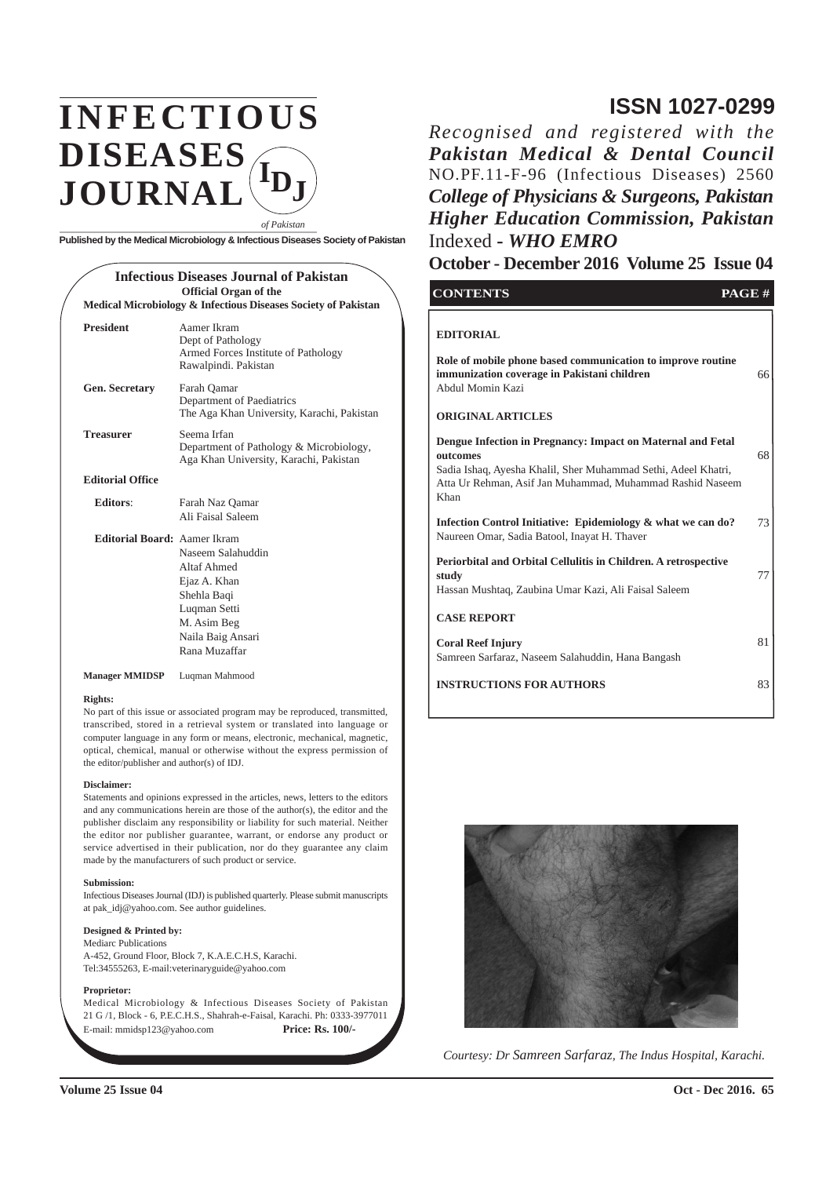## **INFECTIOUS DISEASES JOURNAL IDJ**

**Published by the Medical Microbiology & Infectious Diseases Society of Pakistan**

*of Pakistan*

#### **Infectious Diseases Journal of Pakistan Official Organ of the Medical Microbiology & Infectious Diseases Society of Pakistan President** Aamer Ikram Dept of Pathology Armed Forces Institute of Pathology Rawalpindi. Pakistan **Gen. Secretary** Farah Qamar Department of Paediatrics The Aga Khan University, Karachi, Pakistan **Treasurer** Seema Irfan Department of Pathology & Microbiology, Aga Khan University, Karachi, Pakistan **Editorial Office Editors**: Farah Naz Qamar Ali Faisal Saleem **Editorial Board:** Aamer Ikram Naseem Salahuddin Altaf Ahmed Ejaz A. Khan Shehla Baqi Luqman Setti M. Asim Beg Naila Baig Ansari Rana Muzaffar

**Manager MMIDSP** Luqman Mahmood

#### **Rights:**

No part of this issue or associated program may be reproduced, transmitted, transcribed, stored in a retrieval system or translated into language or computer language in any form or means, electronic, mechanical, magnetic, optical, chemical, manual or otherwise without the express permission of the editor/publisher and author(s) of IDJ.

#### **Disclaimer:**

Statements and opinions expressed in the articles, news, letters to the editors and any communications herein are those of the author(s), the editor and the publisher disclaim any responsibility or liability for such material. Neither the editor nor publisher guarantee, warrant, or endorse any product or service advertised in their publication, nor do they guarantee any claim made by the manufacturers of such product or service.

#### **Submission:**

Infectious Diseases Journal (IDJ) is published quarterly. Please submit manuscripts at pak\_idj@yahoo.com. See author guidelines.

#### **Designed & Printed by:**

Mediarc Publications A-452, Ground Floor, Block 7, K.A.E.C.H.S, Karachi. Tel:34555263, E-mail:veterinaryguide@yahoo.com

#### **Proprietor:**

Medical Microbiology & Infectious Diseases Society of Pakistan 21 G /1, Block - 6, P.E.C.H.S., Shahrah-e-Faisal, Karachi. Ph: 0333-3977011 E-mail: mmidsp123@yahoo.com **Price: Rs. 100/-**

## **ISSN 1027-0299**

*Recognised and registered with the Pakistan Medical & Dental Council* NO.PF.11-F-96 (Infectious Diseases) 2560 *College of Physicians & Surgeons, Pakistan Higher Education Commission, Pakistan* Indexed **-** *WHO EMRO*

#### **October - December 2016 Volume 25 Issue 04**

| <b>CONTENTS</b>                                                                                                                                                                                                | PAGE# |
|----------------------------------------------------------------------------------------------------------------------------------------------------------------------------------------------------------------|-------|
| <b>EDITORIAL</b><br>Role of mobile phone based communication to improve routine<br>immunization coverage in Pakistani children<br>Abdul Momin Kazi<br><b>ORIGINAL ARTICLES</b>                                 | 66    |
| Dengue Infection in Pregnancy: Impact on Maternal and Fetal<br>outcomes<br>Sadia Ishaq, Ayesha Khalil, Sher Muhammad Sethi, Adeel Khatri,<br>Atta Ur Rehman, Asif Jan Muhammad, Muhammad Rashid Naseem<br>Khan | 68    |
| Infection Control Initiative: Epidemiology & what we can do?<br>Naureen Omar, Sadia Batool, Inayat H. Thaver                                                                                                   | 73    |
| Periorbital and Orbital Cellulitis in Children. A retrospective<br>study<br>Hassan Mushtaq, Zaubina Umar Kazi, Ali Faisal Saleem                                                                               | 77    |
| <b>CASE REPORT</b>                                                                                                                                                                                             |       |
| <b>Coral Reef Injury</b><br>Samreen Sarfaraz, Naseem Salahuddin, Hana Bangash                                                                                                                                  | 81    |
| <b>INSTRUCTIONS FOR AUTHORS</b>                                                                                                                                                                                | 83    |



*Courtesy: Dr Samreen Sarfaraz, The Indus Hospital, Karachi.*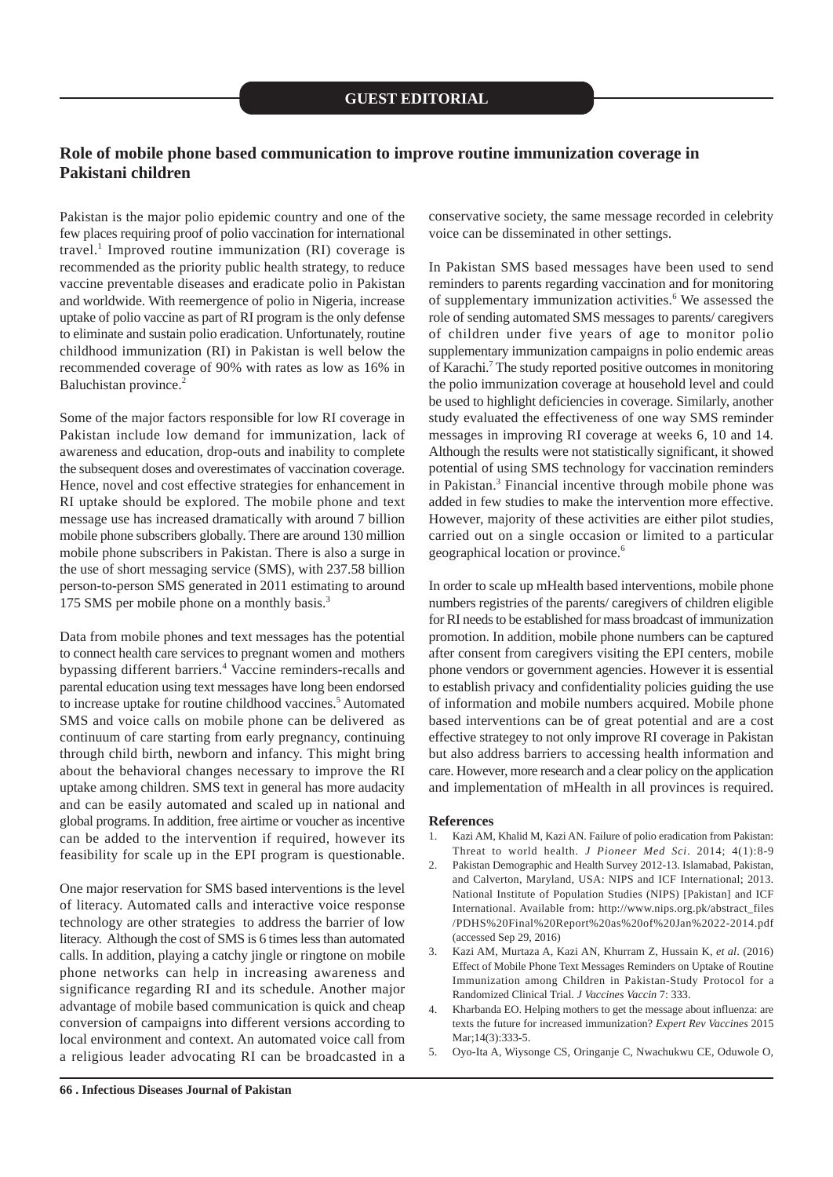#### **Role of mobile phone based communication to improve routine immunization coverage in Pakistani children**

Pakistan is the major polio epidemic country and one of the few places requiring proof of polio vaccination for international travel.<sup>1</sup> Improved routine immunization (RI) coverage is recommended as the priority public health strategy, to reduce vaccine preventable diseases and eradicate polio in Pakistan and worldwide. With reemergence of polio in Nigeria, increase uptake of polio vaccine as part of RI program is the only defense to eliminate and sustain polio eradication. Unfortunately, routine childhood immunization (RI) in Pakistan is well below the recommended coverage of 90% with rates as low as 16% in Baluchistan province.<sup>2</sup>

Some of the major factors responsible for low RI coverage in Pakistan include low demand for immunization, lack of awareness and education, drop-outs and inability to complete the subsequent doses and overestimates of vaccination coverage. Hence, novel and cost effective strategies for enhancement in RI uptake should be explored. The mobile phone and text message use has increased dramatically with around 7 billion mobile phone subscribers globally. There are around 130 million mobile phone subscribers in Pakistan. There is also a surge in the use of short messaging service (SMS), with 237.58 billion person-to-person SMS generated in 2011 estimating to around 175 SMS per mobile phone on a monthly basis.<sup>3</sup>

Data from mobile phones and text messages has the potential to connect health care services to pregnant women and mothers bypassing different barriers.<sup>4</sup> Vaccine reminders-recalls and parental education using text messages have long been endorsed to increase uptake for routine childhood vaccines.<sup>5</sup> Automated SMS and voice calls on mobile phone can be delivered as continuum of care starting from early pregnancy, continuing through child birth, newborn and infancy. This might bring about the behavioral changes necessary to improve the RI uptake among children. SMS text in general has more audacity and can be easily automated and scaled up in national and global programs. In addition, free airtime or voucher as incentive can be added to the intervention if required, however its feasibility for scale up in the EPI program is questionable.

One major reservation for SMS based interventions is the level of literacy. Automated calls and interactive voice response technology are other strategies to address the barrier of low literacy. Although the cost of SMS is 6 times less than automated calls. In addition, playing a catchy jingle or ringtone on mobile phone networks can help in increasing awareness and significance regarding RI and its schedule. Another major advantage of mobile based communication is quick and cheap conversion of campaigns into different versions according to local environment and context. An automated voice call from a religious leader advocating RI can be broadcasted in a

conservative society, the same message recorded in celebrity voice can be disseminated in other settings.

In Pakistan SMS based messages have been used to send reminders to parents regarding vaccination and for monitoring of supplementary immunization activities.<sup>6</sup> We assessed the role of sending automated SMS messages to parents/ caregivers of children under five years of age to monitor polio supplementary immunization campaigns in polio endemic areas of Karachi.<sup>7</sup> The study reported positive outcomes in monitoring the polio immunization coverage at household level and could be used to highlight deficiencies in coverage. Similarly, another study evaluated the effectiveness of one way SMS reminder messages in improving RI coverage at weeks 6, 10 and 14. Although the results were not statistically significant, it showed potential of using SMS technology for vaccination reminders in Pakistan.<sup>3</sup> Financial incentive through mobile phone was added in few studies to make the intervention more effective. However, majority of these activities are either pilot studies, carried out on a single occasion or limited to a particular geographical location or province.<sup>6</sup>

In order to scale up mHealth based interventions, mobile phone numbers registries of the parents/ caregivers of children eligible for RI needs to be established for mass broadcast of immunization promotion. In addition, mobile phone numbers can be captured after consent from caregivers visiting the EPI centers, mobile phone vendors or government agencies. However it is essential to establish privacy and confidentiality policies guiding the use of information and mobile numbers acquired. Mobile phone based interventions can be of great potential and are a cost effective strategey to not only improve RI coverage in Pakistan but also address barriers to accessing health information and care. However, more research and a clear policy on the application and implementation of mHealth in all provinces is required.

- 1. Kazi AM, Khalid M, Kazi AN. Failure of polio eradication from Pakistan: Threat to world health. *J Pioneer Med Sci*. 2014; 4(1):8-9
- 2. Pakistan Demographic and Health Survey 2012-13. Islamabad, Pakistan, and Calverton, Maryland, USA: NIPS and ICF International; 2013. National Institute of Population Studies (NIPS) [Pakistan] and ICF International. Available from: http://www.nips.org.pk/abstract\_files /PDHS%20Final%20Report%20as%20of%20Jan%2022-2014.pdf (accessed Sep 29, 2016)
- 3. Kazi AM, Murtaza A, Kazi AN, Khurram Z, Hussain K*, et al*. (2016) Effect of Mobile Phone Text Messages Reminders on Uptake of Routine Immunization among Children in Pakistan-Study Protocol for a Randomized Clinical Trial. *J Vaccines Vaccin* 7: 333.
- 4. Kharbanda EO. Helping mothers to get the message about influenza: are texts the future for increased immunization? *Expert Rev Vaccines* 2015 Mar:14(3):333-5.
- 5. Oyo-Ita A, Wiysonge CS, Oringanje C, Nwachukwu CE, Oduwole O,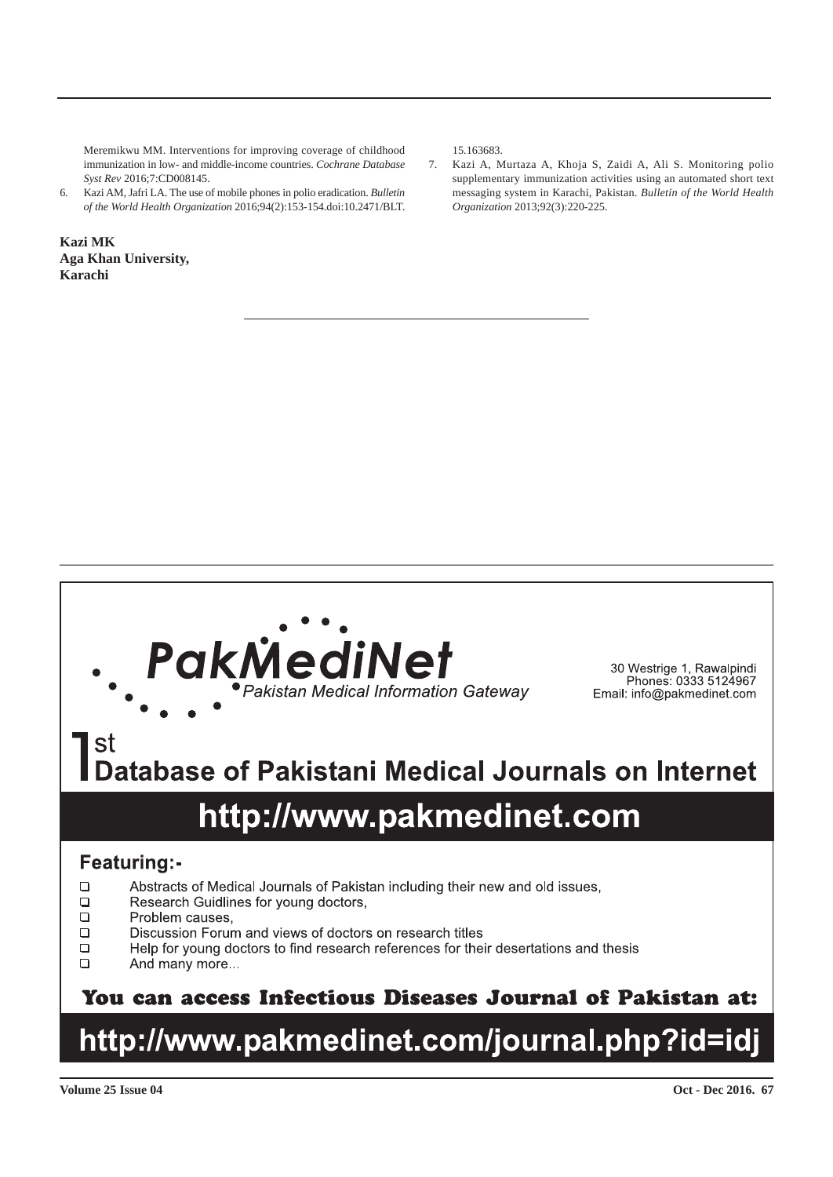Meremikwu MM. Interventions for improving coverage of childhood immunization in low- and middle-income countries. *Cochrane Database Syst Rev* 2016;7:CD008145.

6. Kazi AM, Jafri LA. The use of mobile phones in polio eradication. *Bulletin of the World Health Organization* 2016;94(2):153-154.doi:10.2471/BLT.

**Kazi MK Aga Khan University, Karachi**

15.163683.

7. Kazi A, Murtaza A, Khoja S, Zaidi A, Ali S. Monitoring polio supplementary immunization activities using an automated short text messaging system in Karachi, Pakistan. *Bulletin of the World Health Organization* 2013;92(3):220-225.



30 Westrige 1, Rawalpindi<br>Phones: 0333 5124967 Email: info@pakmedinet.com

# **Database of Pakistani Medical Journals on Internet**

## http://www.pakmedinet.com

## **Featuring:-**

- $\Box$ Abstracts of Medical Journals of Pakistan including their new and old issues,
- $\Box$ Research Guidlines for young doctors,
- $\Box$ Problem causes.
- $\Box$ Discussion Forum and views of doctors on research titles
- $\Box$ Help for young doctors to find research references for their desertations and thesis
- $\Box$ And many more...

## You can access Infectious Diseases Journal of Pakistan at:

## http://www.pakmedinet.com/journal.php?id=idj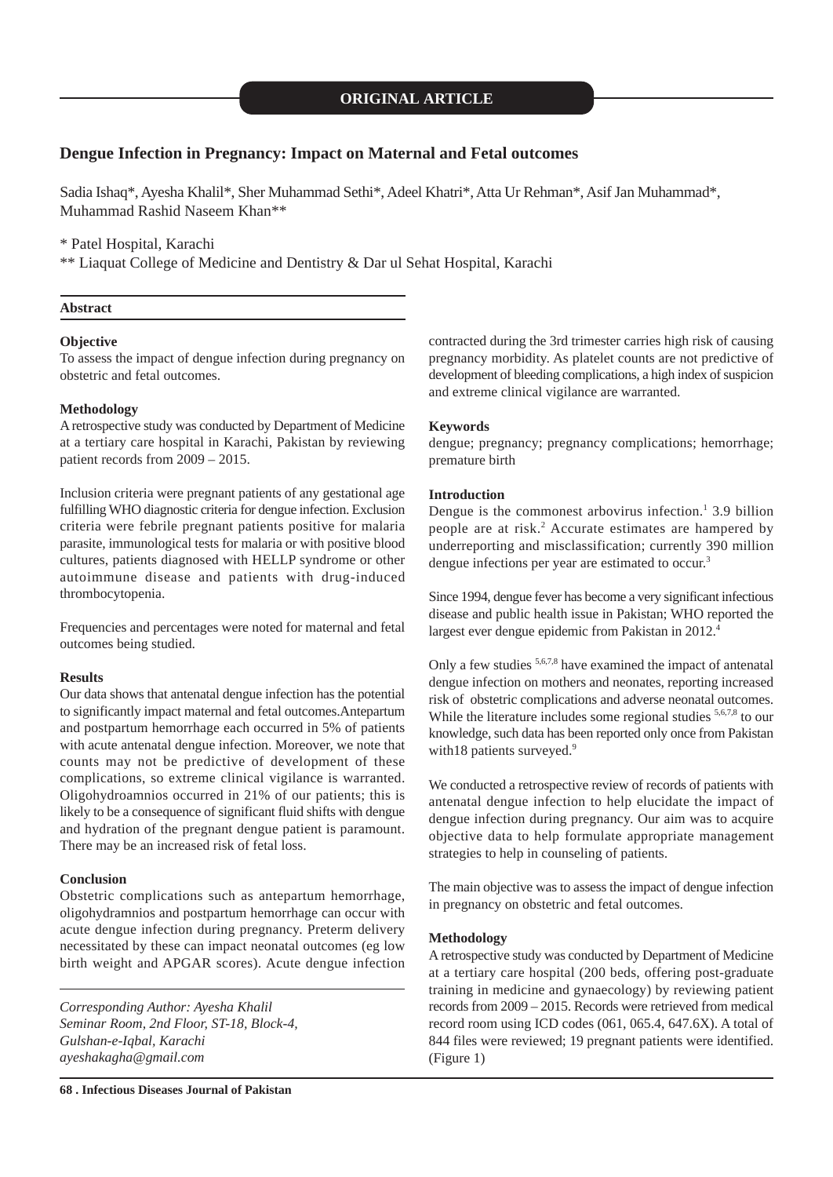#### **Dengue Infection in Pregnancy: Impact on Maternal and Fetal outcomes**

Sadia Ishaq\*, Ayesha Khalil\*, Sher Muhammad Sethi\*, Adeel Khatri\*, Atta Ur Rehman\*, Asif Jan Muhammad\*, Muhammad Rashid Naseem Khan\*\*

\* Patel Hospital, Karachi

\*\* Liaquat College of Medicine and Dentistry & Dar ul Sehat Hospital, Karachi

#### **Abstract**

#### **Objective**

To assess the impact of dengue infection during pregnancy on obstetric and fetal outcomes.

#### **Methodology**

A retrospective study was conducted by Department of Medicine at a tertiary care hospital in Karachi, Pakistan by reviewing patient records from 2009 – 2015.

Inclusion criteria were pregnant patients of any gestational age fulfilling WHO diagnostic criteria for dengue infection. Exclusion criteria were febrile pregnant patients positive for malaria parasite, immunological tests for malaria or with positive blood cultures, patients diagnosed with HELLP syndrome or other autoimmune disease and patients with drug-induced thrombocytopenia.

Frequencies and percentages were noted for maternal and fetal outcomes being studied.

#### **Results**

Our data shows that antenatal dengue infection has the potential to significantly impact maternal and fetal outcomes.Antepartum and postpartum hemorrhage each occurred in 5% of patients with acute antenatal dengue infection. Moreover, we note that counts may not be predictive of development of these complications, so extreme clinical vigilance is warranted. Oligohydroamnios occurred in 21% of our patients; this is likely to be a consequence of significant fluid shifts with dengue and hydration of the pregnant dengue patient is paramount. There may be an increased risk of fetal loss.

#### **Conclusion**

Obstetric complications such as antepartum hemorrhage, oligohydramnios and postpartum hemorrhage can occur with acute dengue infection during pregnancy. Preterm delivery necessitated by these can impact neonatal outcomes (eg low birth weight and APGAR scores). Acute dengue infection

*Corresponding Author: Ayesha Khalil Seminar Room, 2nd Floor, ST-18, Block-4, Gulshan-e-Iqbal, Karachi ayeshakagha@gmail.com*

contracted during the 3rd trimester carries high risk of causing pregnancy morbidity. As platelet counts are not predictive of development of bleeding complications, a high index of suspicion and extreme clinical vigilance are warranted.

#### **Keywords**

dengue; pregnancy; pregnancy complications; hemorrhage; premature birth

#### **Introduction**

Dengue is the commonest arbovirus infection. $\frac{1}{1}$  3.9 billion people are at risk.<sup>2</sup> Accurate estimates are hampered by underreporting and misclassification; currently 390 million dengue infections per year are estimated to occur.<sup>3</sup>

Since 1994, dengue fever has become a very significant infectious disease and public health issue in Pakistan; WHO reported the largest ever dengue epidemic from Pakistan in 2012.<sup>4</sup>

Only a few studies 5,6,7,8 have examined the impact of antenatal dengue infection on mothers and neonates, reporting increased risk of obstetric complications and adverse neonatal outcomes. While the literature includes some regional studies <sup>5,6,7,8</sup> to our knowledge, such data has been reported only once from Pakistan with18 patients surveyed.<sup>9</sup>

We conducted a retrospective review of records of patients with antenatal dengue infection to help elucidate the impact of dengue infection during pregnancy. Our aim was to acquire objective data to help formulate appropriate management strategies to help in counseling of patients.

The main objective was to assess the impact of dengue infection in pregnancy on obstetric and fetal outcomes.

#### **Methodology**

A retrospective study was conducted by Department of Medicine at a tertiary care hospital (200 beds, offering post-graduate training in medicine and gynaecology) by reviewing patient records from 2009 – 2015. Records were retrieved from medical record room using ICD codes (061, 065.4, 647.6X). A total of 844 files were reviewed; 19 pregnant patients were identified. (Figure 1)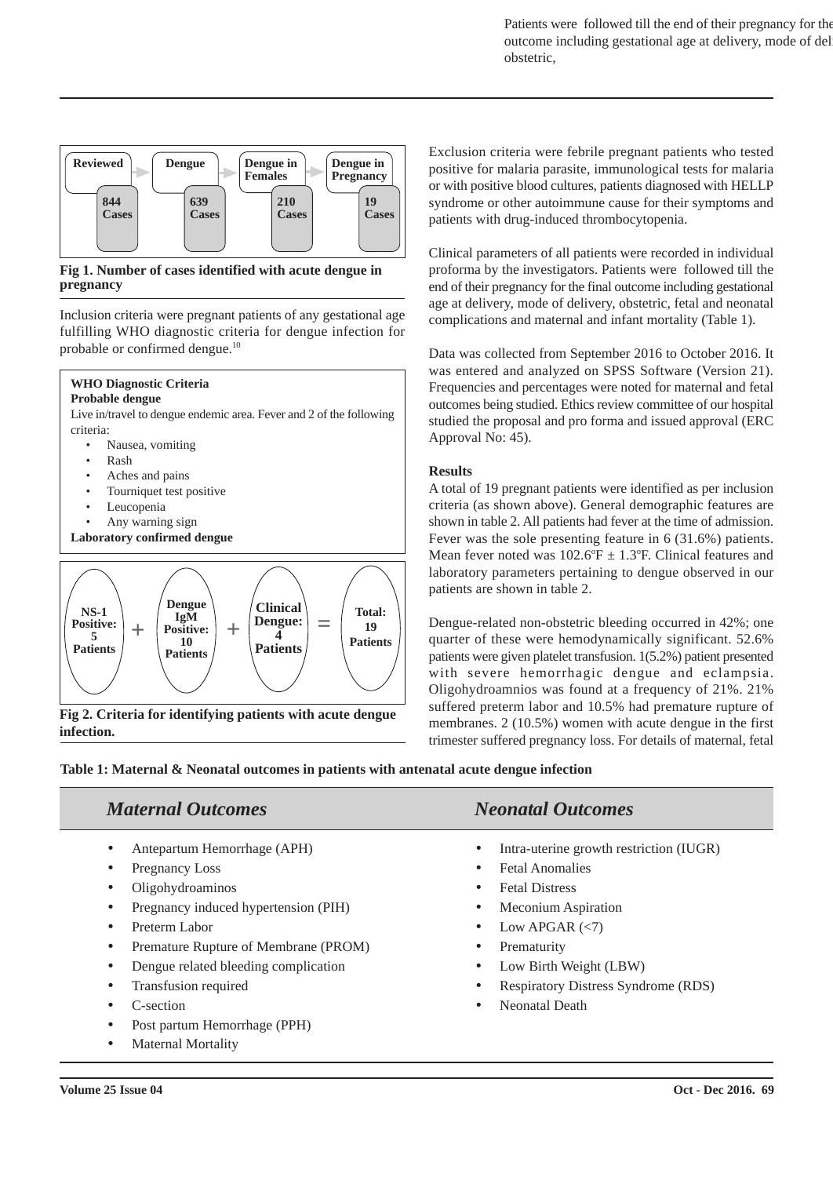Patients were followed till the end of their pregnancy for the outcome including gestational age at delivery, mode of delivery, obstetric,



**Fig 1. Number of cases identified with acute dengue in pregnancy**

Inclusion criteria were pregnant patients of any gestational age fulfilling WHO diagnostic criteria for dengue infection for probable or confirmed dengue.<sup>10</sup>

#### **WHO Diagnostic Criteria Probable dengue**

Live in/travel to dengue endemic area. Fever and 2 of the following criteria:

- Nausea, vomiting
- Rash
- Aches and pains
- Tourniquet test positive
- Leucopenia
- Any warning sign
- **Laboratory confirmed dengue**



**Fig 2. Criteria for identifying patients with acute dengue infection.**

Exclusion criteria were febrile pregnant patients who tested positive for malaria parasite, immunological tests for malaria or with positive blood cultures, patients diagnosed with HELLP syndrome or other autoimmune cause for their symptoms and patients with drug-induced thrombocytopenia.

Clinical parameters of all patients were recorded in individual proforma by the investigators. Patients were followed till the end of their pregnancy for the final outcome including gestational age at delivery, mode of delivery, obstetric, fetal and neonatal complications and maternal and infant mortality (Table 1).

Data was collected from September 2016 to October 2016. It was entered and analyzed on SPSS Software (Version 21). Frequencies and percentages were noted for maternal and fetal outcomes being studied. Ethics review committee of our hospital studied the proposal and pro forma and issued approval (ERC Approval No: 45).

#### **Results**

A total of 19 pregnant patients were identified as per inclusion criteria (as shown above). General demographic features are shown in table 2. All patients had fever at the time of admission. Fever was the sole presenting feature in 6 (31.6%) patients. Mean fever noted was  $102.6^{\circ}F \pm 1.3^{\circ}F$ . Clinical features and laboratory parameters pertaining to dengue observed in our patients are shown in table 2.

Dengue-related non-obstetric bleeding occurred in 42%; one quarter of these were hemodynamically significant. 52.6% patients were given platelet transfusion. 1(5.2%) patient presented with severe hemorrhagic dengue and eclampsia. Oligohydroamnios was found at a frequency of 21%. 21% suffered preterm labor and 10.5% had premature rupture of membranes. 2 (10.5%) women with acute dengue in the first trimester suffered pregnancy loss. For details of maternal, fetal

**Table 1: Maternal & Neonatal outcomes in patients with antenatal acute dengue infection**

### *Maternal Outcomes*

- Antepartum Hemorrhage (APH)
- Pregnancy Loss
- Oligohydroaminos
- Pregnancy induced hypertension (PIH)
- Preterm Labor
- Premature Rupture of Membrane (PROM)
- Dengue related bleeding complication
- Transfusion required
- C-section
- Post partum Hemorrhage (PPH)
- Maternal Mortality

## *Neonatal Outcomes*

- Intra-uterine growth restriction (IUGR)
- Fetal Anomalies
- **Fetal Distress**
- Meconium Aspiration
- Low APGAR  $(<)$
- Prematurity
- Low Birth Weight (LBW)
- Respiratory Distress Syndrome (RDS)
- Neonatal Death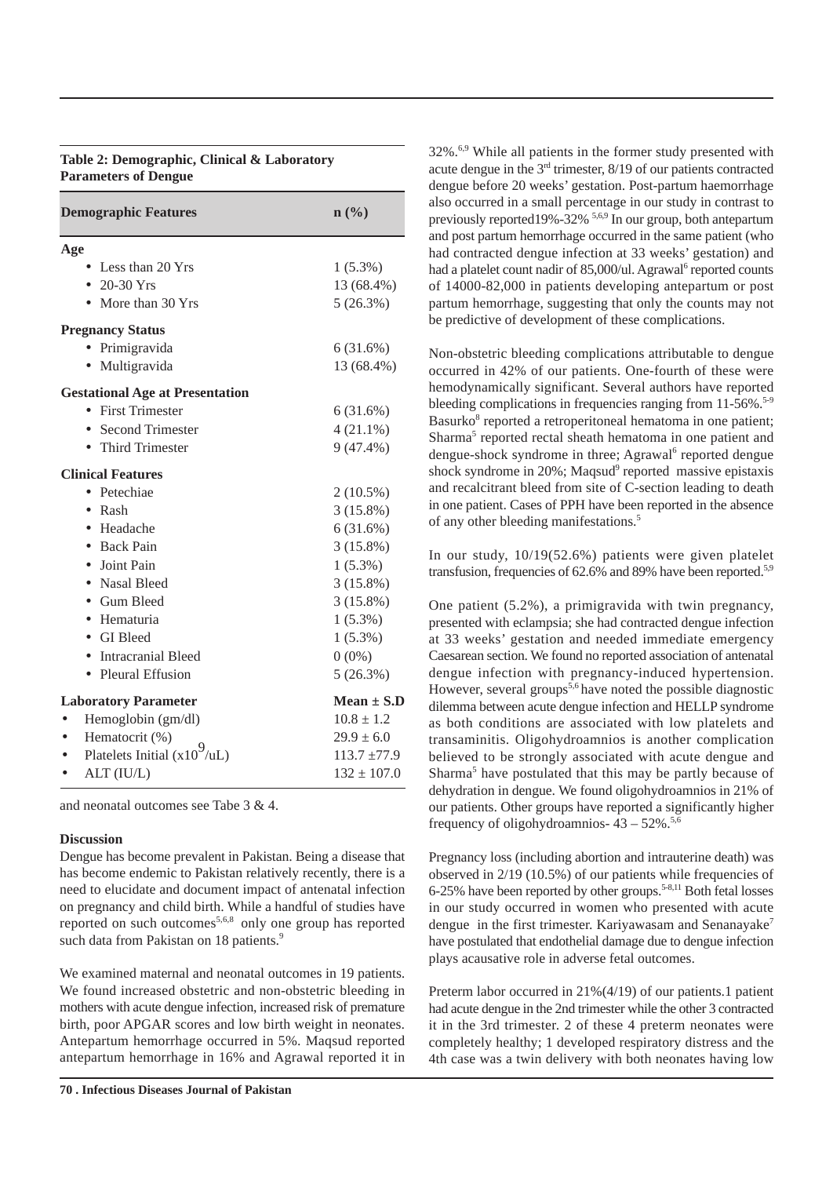#### **Table 2: Demographic, Clinical & Laboratory Parameters of Dengue**

| <b>Demographic Features</b>            | $\mathbf{n}(\%)$ |
|----------------------------------------|------------------|
| Age                                    |                  |
| Less than 20 Yrs                       | $1(5.3\%)$       |
| • 20-30 Yrs                            | 13 (68.4%)       |
| More than 30 Yrs                       | 5(26.3%)         |
| <b>Pregnancy Status</b>                |                  |
| · Primigravida                         | 6(31.6%)         |
| Multigravida                           | 13 (68.4%)       |
| <b>Gestational Age at Presentation</b> |                  |
| • First Trimester                      | 6(31.6%)         |
| <b>Second Trimester</b>                | $4(21.1\%)$      |
| <b>Third Trimester</b>                 | $9(47.4\%)$      |
| <b>Clinical Features</b>               |                  |
| • Petechiae                            | $2(10.5\%)$      |
| Rash<br>$\bullet$                      | $3(15.8\%)$      |
| • Headache                             | 6(31.6%)         |
| • Back Pain                            | $3(15.8\%)$      |
| Joint Pain                             | $1(5.3\%)$       |
| • Nasal Bleed                          | $3(15.8\%)$      |
| • Gum Bleed                            | $3(15.8\%)$      |
| · Hematuria                            | $1(5.3\%)$       |
| • GI Bleed                             | $1(5.3\%)$       |
| <b>Intracranial Bleed</b>              | $0(0\%)$         |
| Pleural Effusion                       | $5(26.3\%)$      |
| <b>Laboratory Parameter</b>            | Mean $\pm$ S.D   |
| Hemoglobin (gm/dl)                     | $10.8 \pm 1.2$   |
| Hematocrit (%)                         | $29.9 \pm 6.0$   |
| Platelets Initial $(x103/uL)$          | $113.7 + 77.9$   |
| ALT (IU/L)                             | $132 \pm 107.0$  |

and neonatal outcomes see Tabe 3 & 4.

#### **Discussion**

Dengue has become prevalent in Pakistan. Being a disease that has become endemic to Pakistan relatively recently, there is a need to elucidate and document impact of antenatal infection on pregnancy and child birth. While a handful of studies have reported on such outcomes<sup>5,6,8</sup> only one group has reported such data from Pakistan on 18 patients.<sup>9</sup>

We examined maternal and neonatal outcomes in 19 patients. We found increased obstetric and non-obstetric bleeding in mothers with acute dengue infection, increased risk of premature birth, poor APGAR scores and low birth weight in neonates. Antepartum hemorrhage occurred in 5%. Maqsud reported antepartum hemorrhage in 16% and Agrawal reported it in

 $32\%$ .<sup>6,9</sup> While all patients in the former study presented with acute dengue in the  $3<sup>rd</sup>$  trimester,  $8/19$  of our patients contracted dengue before 20 weeks' gestation. Post-partum haemorrhage also occurred in a small percentage in our study in contrast to previously reported  $19\% -32\%$ <sup>5,6,9</sup> In our group, both antepartum and post partum hemorrhage occurred in the same patient (who had contracted dengue infection at 33 weeks' gestation) and had a platelet count nadir of 85,000/ul. Agrawal<sup>6</sup> reported counts of 14000-82,000 in patients developing antepartum or post partum hemorrhage, suggesting that only the counts may not be predictive of development of these complications.

Non-obstetric bleeding complications attributable to dengue occurred in 42% of our patients. One-fourth of these were hemodynamically significant. Several authors have reported bleeding complications in frequencies ranging from  $11-56\%$ .<sup>5-9</sup> Basurko<sup>8</sup> reported a retroperitoneal hematoma in one patient; Sharma<sup>5</sup> reported rectal sheath hematoma in one patient and dengue-shock syndrome in three; Agrawal<sup>6</sup> reported dengue shock syndrome in 20%; Maqsud<sup>9</sup> reported massive epistaxis and recalcitrant bleed from site of C-section leading to death in one patient. Cases of PPH have been reported in the absence of any other bleeding manifestations.<sup>5</sup>

In our study, 10/19(52.6%) patients were given platelet transfusion, frequencies of 62.6% and 89% have been reported.<sup>5,9</sup>

One patient (5.2%), a primigravida with twin pregnancy, presented with eclampsia; she had contracted dengue infection at 33 weeks' gestation and needed immediate emergency Caesarean section. We found no reported association of antenatal dengue infection with pregnancy-induced hypertension. However, several groups<sup>5,6</sup> have noted the possible diagnostic dilemma between acute dengue infection and HELLP syndrome as both conditions are associated with low platelets and transaminitis. Oligohydroamnios is another complication believed to be strongly associated with acute dengue and Sharma<sup>5</sup> have postulated that this may be partly because of dehydration in dengue. We found oligohydroamnios in 21% of our patients. Other groups have reported a significantly higher frequency of oligohydroamnios- $43 - 52\%$ .<sup>5,6</sup>

Pregnancy loss (including abortion and intrauterine death) was observed in 2/19 (10.5%) of our patients while frequencies of 6-25% have been reported by other groups.<sup>5-8,11</sup> Both fetal losses in our study occurred in women who presented with acute dengue in the first trimester. Kariyawasam and Senanayake<sup>7</sup> have postulated that endothelial damage due to dengue infection plays acausative role in adverse fetal outcomes.

Preterm labor occurred in 21%(4/19) of our patients.1 patient had acute dengue in the 2nd trimester while the other 3 contracted it in the 3rd trimester. 2 of these 4 preterm neonates were completely healthy; 1 developed respiratory distress and the 4th case was a twin delivery with both neonates having low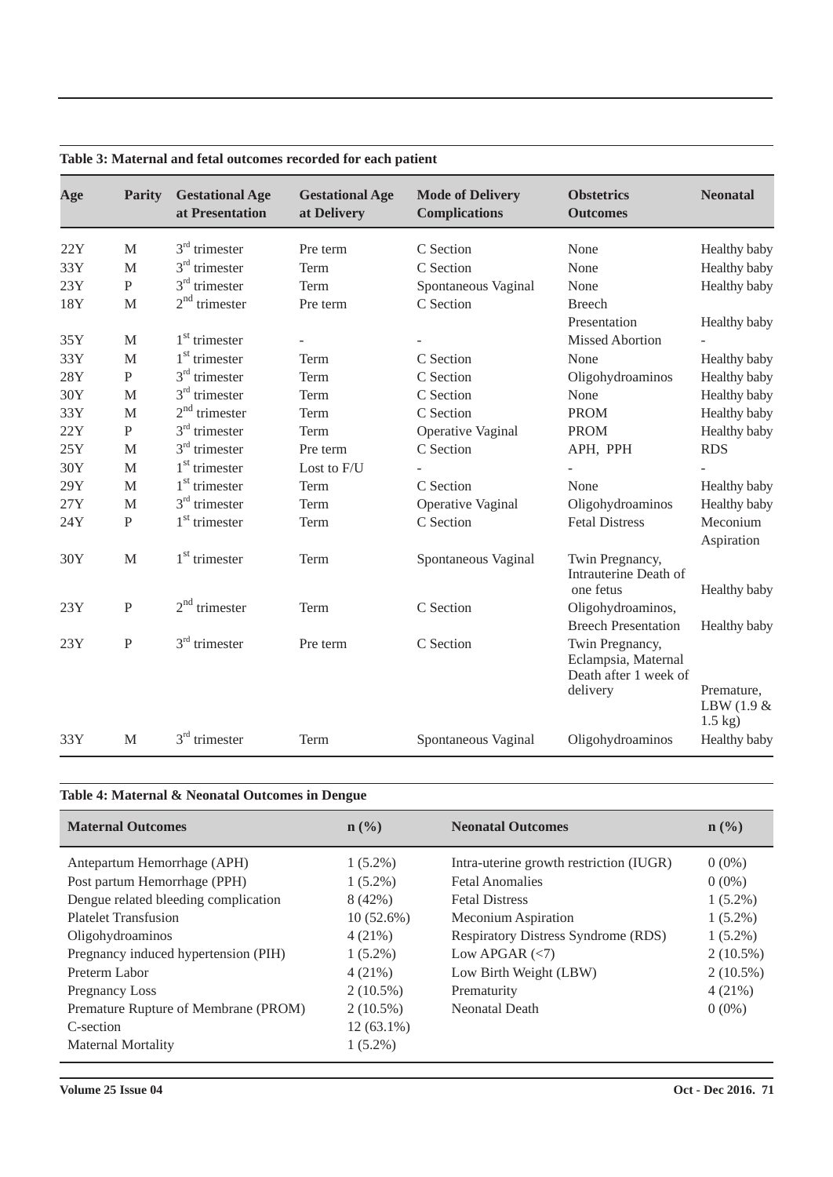| Age | <b>Parity</b>  | <b>Gestational Age</b><br>at Presentation | <b>Gestational Age</b><br>at Delivery | <b>Mode of Delivery</b><br><b>Complications</b> | <b>Obstetrics</b><br><b>Outcomes</b>                                        | <b>Neonatal</b>             |
|-----|----------------|-------------------------------------------|---------------------------------------|-------------------------------------------------|-----------------------------------------------------------------------------|-----------------------------|
| 22Y | M              | $3rd$ trimester                           | Pre term                              | C Section                                       | None                                                                        | Healthy baby                |
| 33Y | M              | $3rd$ trimester                           | Term                                  | C Section                                       | None                                                                        | Healthy baby                |
| 23Y | $\, {\bf P}$   | $3rd$ trimester                           | Term                                  | Spontaneous Vaginal                             | None                                                                        | Healthy baby                |
| 18Y | M              | $2nd$ trimester                           | Pre term                              | C Section                                       | <b>Breech</b>                                                               |                             |
|     |                |                                           |                                       |                                                 | Presentation                                                                | Healthy baby                |
| 35Y | M              | $1st$ trimester                           | L.                                    |                                                 | <b>Missed Abortion</b>                                                      |                             |
| 33Y | M              | $1st$ trimester                           | Term                                  | C Section                                       | None                                                                        | Healthy baby                |
| 28Y | $\mathbf{P}$   | $3rd$ trimester                           | Term                                  | C Section                                       | Oligohydroaminos                                                            | Healthy baby                |
| 30Y | M              | $3rd$ trimester                           | Term                                  | C Section                                       | None                                                                        | Healthy baby                |
| 33Y | M              | $2nd$ trimester                           | Term                                  | C Section                                       | <b>PROM</b>                                                                 | Healthy baby                |
| 22Y | P              | $3rd$ trimester                           | Term                                  | Operative Vaginal                               | <b>PROM</b>                                                                 | Healthy baby                |
| 25Y | M              | $3rd$ trimester                           | Pre term                              | C Section                                       | APH, PPH                                                                    | <b>RDS</b>                  |
| 30Y | M              | $1st$ trimester                           | Lost to F/U                           |                                                 |                                                                             |                             |
| 29Y | M              | $1st$ trimester                           | Term                                  | C Section                                       | None                                                                        | Healthy baby                |
| 27Y | M              | $3rd$ trimester                           | Term                                  | Operative Vaginal                               | Oligohydroaminos                                                            | Healthy baby                |
| 24Y | $\mathbf{P}$   | $1st$ trimester                           | Term                                  | C Section                                       | <b>Fetal Distress</b>                                                       | Meconium<br>Aspiration      |
| 30Y | M              | $1st$ trimester                           | Term                                  | Spontaneous Vaginal                             | Twin Pregnancy,<br>Intrauterine Death of<br>one fetus                       | Healthy baby                |
| 23Y | $\overline{P}$ | $2nd$ trimester                           | Term                                  | C Section                                       | Oligohydroaminos,                                                           |                             |
|     |                |                                           |                                       |                                                 | <b>Breech Presentation</b>                                                  | Healthy baby                |
| 23Y | $\mathbf{P}$   | $3rd$ trimester                           | Pre term                              | C Section                                       | Twin Pregnancy,<br>Eclampsia, Maternal<br>Death after 1 week of<br>delivery | Premature,<br>LBW $(1.9 \&$ |
| 33Y | M              | $3rd$ trimester                           | Term                                  | Spontaneous Vaginal                             | Oligohydroaminos                                                            | $1.5$ kg)<br>Healthy baby   |

#### **Table 3: Maternal and fetal outcomes recorded for each patient**

#### **Table 4: Maternal & Neonatal Outcomes in Dengue**

| <b>Maternal Outcomes</b>             | $\mathbf{n}(\%)$ | <b>Neonatal Outcomes</b>                   | $\mathbf{n}(\%)$ |
|--------------------------------------|------------------|--------------------------------------------|------------------|
| Antepartum Hemorrhage (APH)          | $1(5.2\%)$       | Intra-uterine growth restriction (IUGR)    | $0(0\%)$         |
| Post partum Hemorrhage (PPH)         | $1(5.2\%)$       | <b>Fetal Anomalies</b>                     | $0(0\%)$         |
| Dengue related bleeding complication | 8(42%)           | <b>Fetal Distress</b>                      | $1(5.2\%)$       |
| <b>Platelet Transfusion</b>          | $10(52.6\%)$     | Meconium Aspiration                        | $1(5.2\%)$       |
| Oligohydroaminos                     | $4(21\%)$        | <b>Respiratory Distress Syndrome (RDS)</b> | $1(5.2\%)$       |
| Pregnancy induced hypertension (PIH) | $1(5.2\%)$       | Low APGAR $(< 7)$                          | $2(10.5\%)$      |
| Preterm Labor                        | 4(21%)           | Low Birth Weight (LBW)                     | $2(10.5\%)$      |
| Pregnancy Loss                       | $2(10.5\%)$      | Prematurity                                | $4(21\%)$        |
| Premature Rupture of Membrane (PROM) | $2(10.5\%)$      | Neonatal Death                             | $0(0\%)$         |
| C-section                            | $12(63.1\%)$     |                                            |                  |
| Maternal Mortality                   | $1(5.2\%)$       |                                            |                  |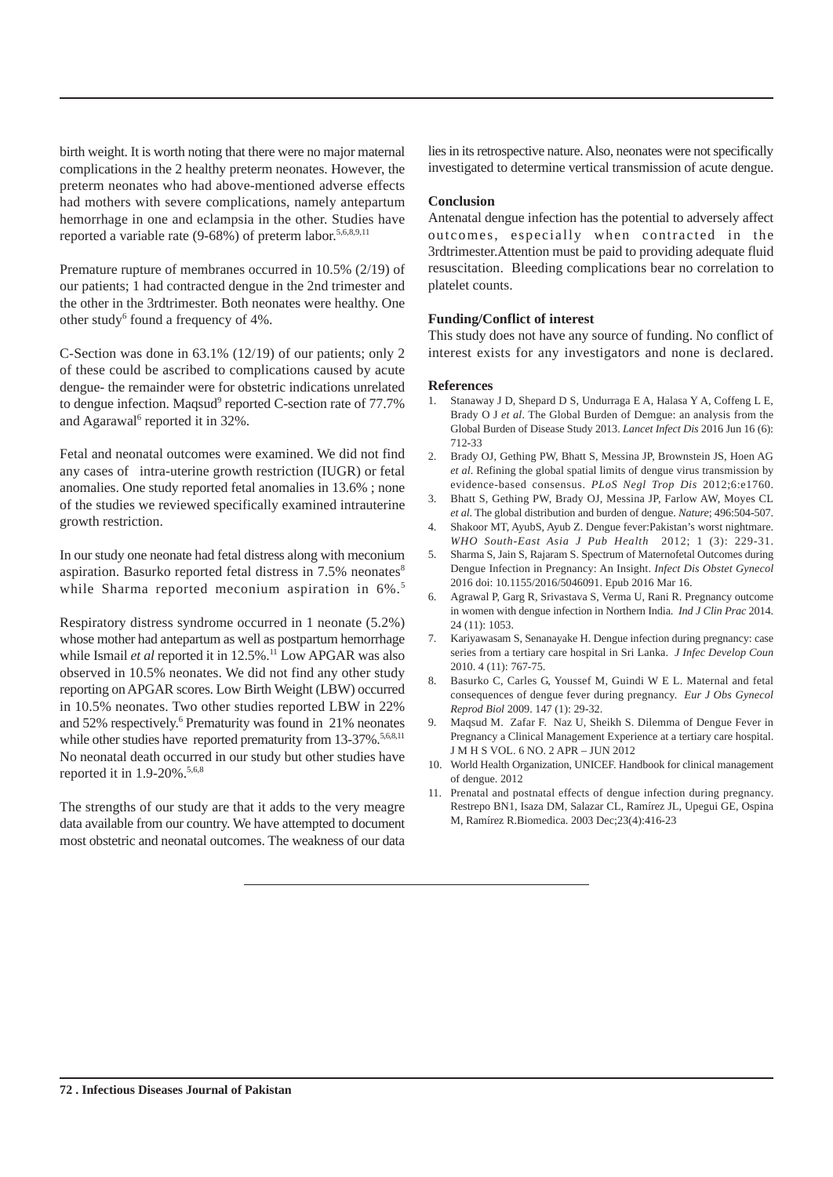birth weight. It is worth noting that there were no major maternal complications in the 2 healthy preterm neonates. However, the preterm neonates who had above-mentioned adverse effects had mothers with severe complications, namely antepartum hemorrhage in one and eclampsia in the other. Studies have reported a variable rate  $(9-68%)$  of preterm labor.<sup>5,6,8,9,11</sup>

Premature rupture of membranes occurred in 10.5% (2/19) of our patients; 1 had contracted dengue in the 2nd trimester and the other in the 3rdtrimester. Both neonates were healthy. One other study<sup>6</sup> found a frequency of 4%.

C-Section was done in 63.1% (12/19) of our patients; only 2 of these could be ascribed to complications caused by acute dengue- the remainder were for obstetric indications unrelated to dengue infection. Maqsud<sup>9</sup> reported C-section rate of 77.7% and Agarawal<sup>6</sup> reported it in 32%.

Fetal and neonatal outcomes were examined. We did not find any cases of intra-uterine growth restriction (IUGR) or fetal anomalies. One study reported fetal anomalies in 13.6% ; none of the studies we reviewed specifically examined intrauterine growth restriction.

In our study one neonate had fetal distress along with meconium aspiration. Basurko reported fetal distress in  $7.5\%$  neonates<sup>8</sup> while Sharma reported meconium aspiration in 6%.<sup>5</sup>

Respiratory distress syndrome occurred in 1 neonate (5.2%) whose mother had antepartum as well as postpartum hemorrhage while Ismail *et al* reported it in 12.5%.<sup>11</sup> Low APGAR was also observed in 10.5% neonates. We did not find any other study reporting on APGAR scores. Low Birth Weight (LBW) occurred in 10.5% neonates. Two other studies reported LBW in 22% and 52% respectively.<sup>6</sup> Prematurity was found in 21% neonates while other studies have reported prematurity from 13-37%.<sup>5,6,8,11</sup> No neonatal death occurred in our study but other studies have reported it in 1.9-20%.<sup>5,6,8</sup>

The strengths of our study are that it adds to the very meagre data available from our country. We have attempted to document most obstetric and neonatal outcomes. The weakness of our data lies in its retrospective nature. Also, neonates were not specifically investigated to determine vertical transmission of acute dengue.

#### **Conclusion**

Antenatal dengue infection has the potential to adversely affect outcomes, especially when contracted in the 3rdtrimester.Attention must be paid to providing adequate fluid resuscitation. Bleeding complications bear no correlation to platelet counts.

#### **Funding/Conflict of interest**

This study does not have any source of funding. No conflict of interest exists for any investigators and none is declared.

- 1. Stanaway J D, Shepard D S, Undurraga E A, Halasa Y A, Coffeng L E, Brady O J *et al*. The Global Burden of Demgue: an analysis from the Global Burden of Disease Study 2013. *Lancet Infect Dis* 2016 Jun 16 (6): 712-33
- 2. Brady OJ, Gething PW, Bhatt S, Messina JP, Brownstein JS, Hoen AG *et al*. Refining the global spatial limits of dengue virus transmission by evidence-based consensus. *PLoS Negl Trop Dis* 2012;6:e1760.
- 3. Bhatt S, Gething PW, Brady OJ, Messina JP, Farlow AW, Moyes CL *et al*. The global distribution and burden of dengue. *Nature*; 496:504-507.
- 4. Shakoor MT, AyubS, Ayub Z. Dengue fever:Pakistan's worst nightmare. *WHO South-East Asia J Pub Health* 2012; 1 (3): 229-31.
- 5. Sharma S, Jain S, Rajaram S. Spectrum of Maternofetal Outcomes during Dengue Infection in Pregnancy: An Insight. *Infect Dis Obstet Gynecol* 2016 doi: 10.1155/2016/5046091. Epub 2016 Mar 16.
- 6. Agrawal P, Garg R, Srivastava S, Verma U, Rani R. Pregnancy outcome in women with dengue infection in Northern India. *Ind J Clin Prac* 2014. 24 (11): 1053.
- 7. Kariyawasam S, Senanayake H. Dengue infection during pregnancy: case series from a tertiary care hospital in Sri Lanka. *J Infec Develop Coun* 2010. 4 (11): 767-75.
- 8. Basurko C, Carles G, Youssef M, Guindi W E L. Maternal and fetal consequences of dengue fever during pregnancy. *Eur J Obs Gynecol Reprod Biol* 2009. 147 (1): 29-32.
- 9. Maqsud M. Zafar F. Naz U, Sheikh S. Dilemma of Dengue Fever in Pregnancy a Clinical Management Experience at a tertiary care hospital. J M H S VOL. 6 NO. 2 APR – JUN 2012
- 10. World Health Organization, UNICEF. Handbook for clinical management of dengue. 2012
- 11. Prenatal and postnatal effects of dengue infection during pregnancy. Restrepo BN1, Isaza DM, Salazar CL, Ramírez JL, Upegui GE, Ospina M, Ramírez R.Biomedica. 2003 Dec;23(4):416-23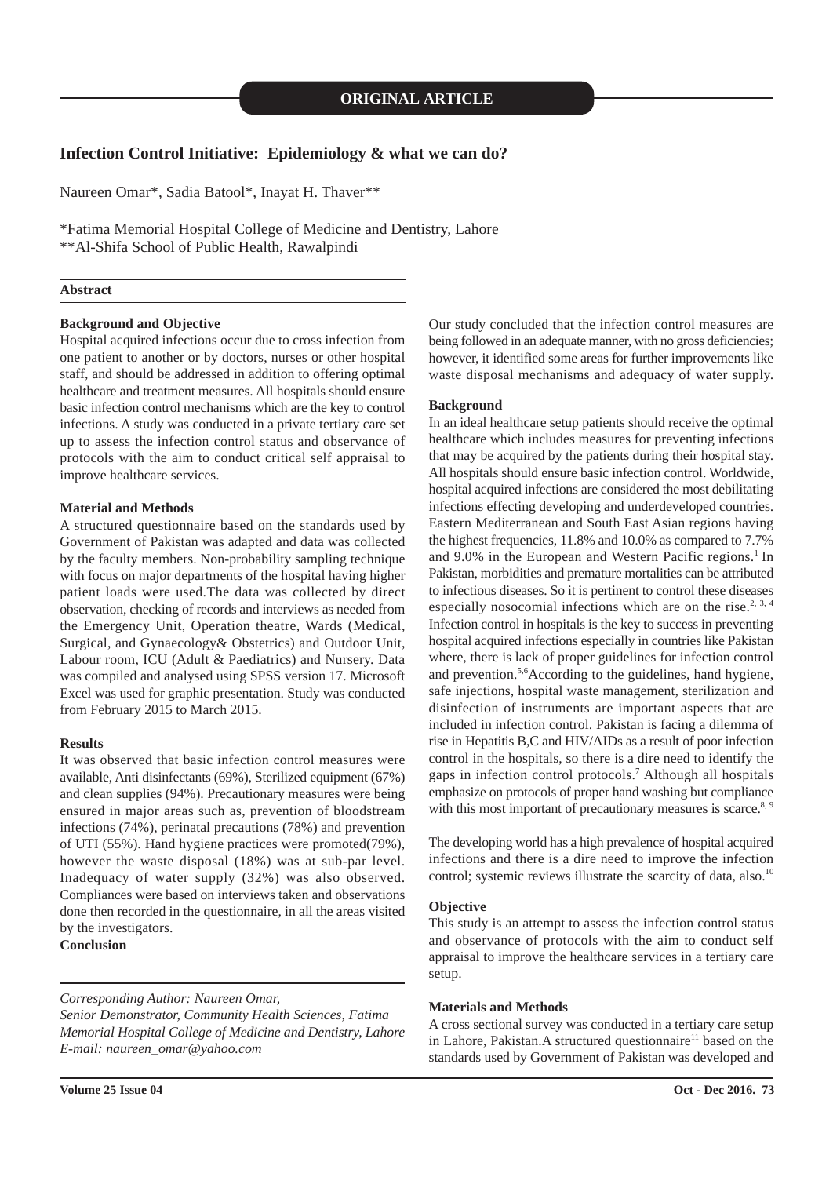#### **Infection Control Initiative: Epidemiology & what we can do?**

Naureen Omar\*, Sadia Batool\*, Inayat H. Thaver\*\*

\*Fatima Memorial Hospital College of Medicine and Dentistry, Lahore \*\*Al-Shifa School of Public Health, Rawalpindi

#### **Abstract**

#### **Background and Objective**

Hospital acquired infections occur due to cross infection from one patient to another or by doctors, nurses or other hospital staff, and should be addressed in addition to offering optimal healthcare and treatment measures. All hospitals should ensure basic infection control mechanisms which are the key to control infections. A study was conducted in a private tertiary care set up to assess the infection control status and observance of protocols with the aim to conduct critical self appraisal to improve healthcare services.

#### **Material and Methods**

A structured questionnaire based on the standards used by Government of Pakistan was adapted and data was collected by the faculty members. Non-probability sampling technique with focus on major departments of the hospital having higher patient loads were used.The data was collected by direct observation, checking of records and interviews as needed from the Emergency Unit, Operation theatre, Wards (Medical, Surgical, and Gynaecology& Obstetrics) and Outdoor Unit, Labour room, ICU (Adult & Paediatrics) and Nursery. Data was compiled and analysed using SPSS version 17. Microsoft Excel was used for graphic presentation. Study was conducted from February 2015 to March 2015.

#### **Results**

It was observed that basic infection control measures were available, Anti disinfectants (69%), Sterilized equipment (67%) and clean supplies (94%). Precautionary measures were being ensured in major areas such as, prevention of bloodstream infections (74%), perinatal precautions (78%) and prevention of UTI (55%). Hand hygiene practices were promoted(79%), however the waste disposal (18%) was at sub-par level. Inadequacy of water supply (32%) was also observed. Compliances were based on interviews taken and observations done then recorded in the questionnaire, in all the areas visited by the investigators.

**Conclusion**

*Corresponding Author: Naureen Omar,*

*Senior Demonstrator, Community Health Sciences, Fatima Memorial Hospital College of Medicine and Dentistry, Lahore E-mail: naureen\_omar@yahoo.com*

Our study concluded that the infection control measures are being followed in an adequate manner, with no gross deficiencies; however, it identified some areas for further improvements like waste disposal mechanisms and adequacy of water supply.

#### **Background**

In an ideal healthcare setup patients should receive the optimal healthcare which includes measures for preventing infections that may be acquired by the patients during their hospital stay. All hospitals should ensure basic infection control. Worldwide, hospital acquired infections are considered the most debilitating infections effecting developing and underdeveloped countries. Eastern Mediterranean and South East Asian regions having the highest frequencies, 11.8% and 10.0% as compared to 7.7% and 9.0% in the European and Western Pacific regions.<sup>1</sup> In Pakistan, morbidities and premature mortalities can be attributed to infectious diseases. So it is pertinent to control these diseases especially nosocomial infections which are on the rise.<sup>2, 3, 4</sup> Infection control in hospitals is the key to success in preventing hospital acquired infections especially in countries like Pakistan where, there is lack of proper guidelines for infection control and prevention.<sup>5,6</sup>According to the guidelines, hand hygiene, safe injections, hospital waste management, sterilization and disinfection of instruments are important aspects that are included in infection control. Pakistan is facing a dilemma of rise in Hepatitis B,C and HIV/AIDs as a result of poor infection control in the hospitals, so there is a dire need to identify the gaps in infection control protocols.<sup>7</sup> Although all hospitals emphasize on protocols of proper hand washing but compliance with this most important of precautionary measures is scarce. $8,9$ 

The developing world has a high prevalence of hospital acquired infections and there is a dire need to improve the infection control; systemic reviews illustrate the scarcity of data, also.<sup>10</sup>

#### **Objective**

This study is an attempt to assess the infection control status and observance of protocols with the aim to conduct self appraisal to improve the healthcare services in a tertiary care setup.

#### **Materials and Methods**

A cross sectional survey was conducted in a tertiary care setup in Lahore, Pakistan.A structured questionnaire<sup>11</sup> based on the standards used by Government of Pakistan was developed and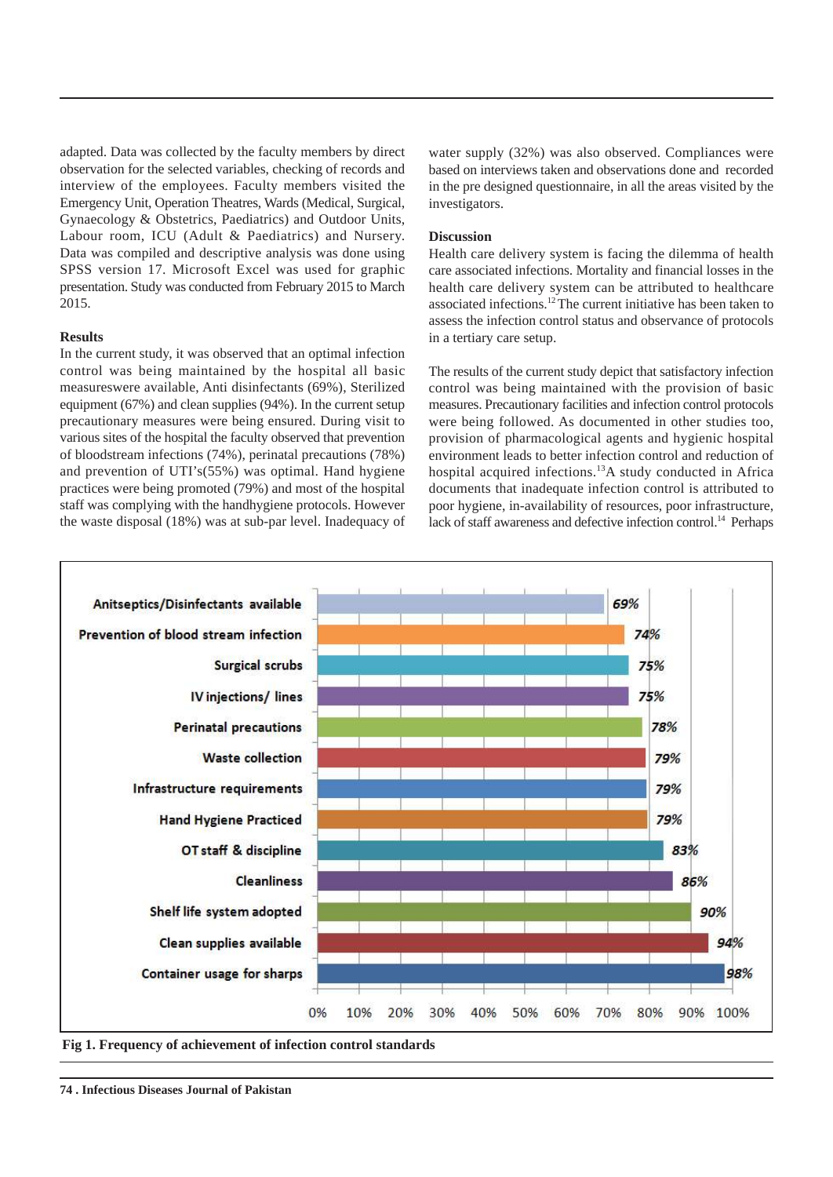adapted. Data was collected by the faculty members by direct observation for the selected variables, checking of records and interview of the employees. Faculty members visited the Emergency Unit, Operation Theatres, Wards (Medical, Surgical, Gynaecology & Obstetrics, Paediatrics) and Outdoor Units, Labour room, ICU (Adult & Paediatrics) and Nursery. Data was compiled and descriptive analysis was done using SPSS version 17. Microsoft Excel was used for graphic presentation. Study was conducted from February 2015 to March 2015.

#### **Results**

In the current study, it was observed that an optimal infection control was being maintained by the hospital all basic measureswere available, Anti disinfectants (69%), Sterilized equipment (67%) and clean supplies (94%). In the current setup precautionary measures were being ensured. During visit to various sites of the hospital the faculty observed that prevention of bloodstream infections (74%), perinatal precautions (78%) and prevention of UTI's(55%) was optimal. Hand hygiene practices were being promoted (79%) and most of the hospital staff was complying with the handhygiene protocols. However the waste disposal (18%) was at sub-par level. Inadequacy of

water supply (32%) was also observed. Compliances were based on interviews taken and observations done and recorded in the pre designed questionnaire, in all the areas visited by the investigators.

#### **Discussion**

Health care delivery system is facing the dilemma of health care associated infections. Mortality and financial losses in the health care delivery system can be attributed to healthcare associated infections.<sup>12</sup>The current initiative has been taken to assess the infection control status and observance of protocols in a tertiary care setup.

The results of the current study depict that satisfactory infection control was being maintained with the provision of basic measures. Precautionary facilities and infection control protocols were being followed. As documented in other studies too, provision of pharmacological agents and hygienic hospital environment leads to better infection control and reduction of hospital acquired infections.<sup>13</sup>A study conducted in Africa documents that inadequate infection control is attributed to poor hygiene, in-availability of resources, poor infrastructure, lack of staff awareness and defective infection control.<sup>14</sup> Perhaps



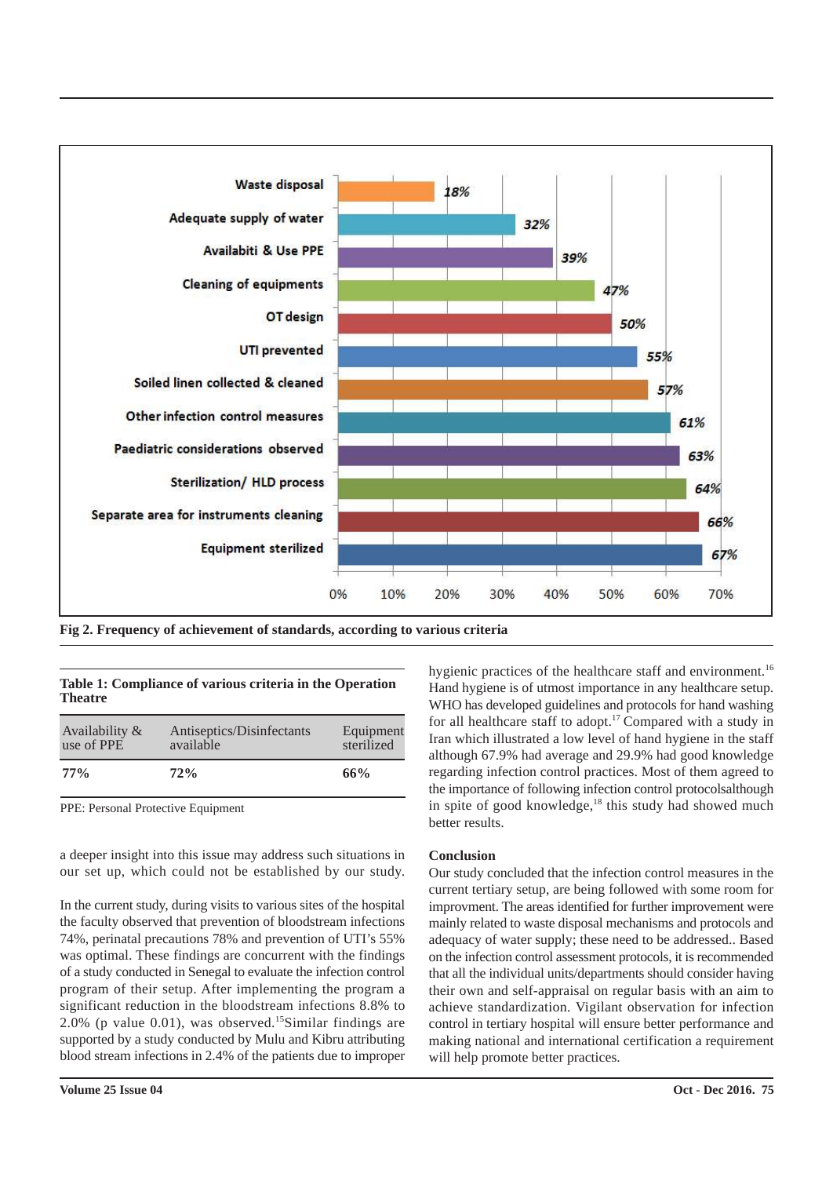

**Fig 2. Frequency of achievement of standards, according to various criteria**

|                |  | Table 1: Compliance of various criteria in the Operation |  |
|----------------|--|----------------------------------------------------------|--|
| <b>Theatre</b> |  |                                                          |  |

| Availability & | Antiseptics/Disinfectants | Equipment  |
|----------------|---------------------------|------------|
| use of PPE     | available                 | sterilized |
| $77\%$         | 72%                       | 66%        |

PPE: Personal Protective Equipment

a deeper insight into this issue may address such situations in our set up, which could not be established by our study.

In the current study, during visits to various sites of the hospital the faculty observed that prevention of bloodstream infections 74%, perinatal precautions 78% and prevention of UTI's 55% was optimal. These findings are concurrent with the findings of a study conducted in Senegal to evaluate the infection control program of their setup. After implementing the program a significant reduction in the bloodstream infections 8.8% to 2.0% (p value 0.01), was observed.<sup>15</sup>Similar findings are supported by a study conducted by Mulu and Kibru attributing blood stream infections in 2.4% of the patients due to improper

hygienic practices of the healthcare staff and environment.<sup>16</sup> Hand hygiene is of utmost importance in any healthcare setup. WHO has developed guidelines and protocols for hand washing for all healthcare staff to adopt.<sup>17</sup> Compared with a study in Iran which illustrated a low level of hand hygiene in the staff although 67.9% had average and 29.9% had good knowledge regarding infection control practices. Most of them agreed to the importance of following infection control protocolsalthough in spite of good knowledge, $18$  this study had showed much better results.

#### **Conclusion**

Our study concluded that the infection control measures in the current tertiary setup, are being followed with some room for improvment. The areas identified for further improvement were mainly related to waste disposal mechanisms and protocols and adequacy of water supply; these need to be addressed.. Based on the infection control assessment protocols, it is recommended that all the individual units/departments should consider having their own and self-appraisal on regular basis with an aim to achieve standardization. Vigilant observation for infection control in tertiary hospital will ensure better performance and making national and international certification a requirement will help promote better practices.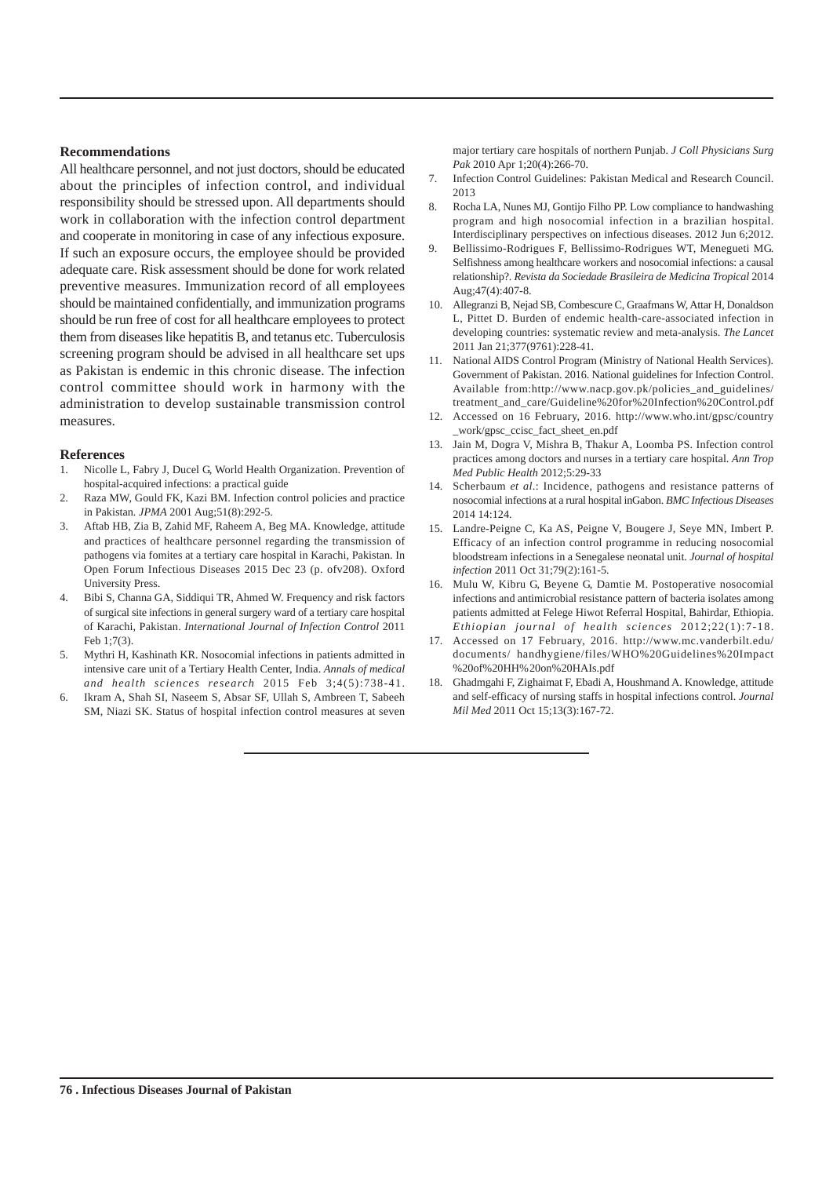#### **Recommendations**

All healthcare personnel, and not just doctors, should be educated about the principles of infection control, and individual responsibility should be stressed upon. All departments should work in collaboration with the infection control department and cooperate in monitoring in case of any infectious exposure. If such an exposure occurs, the employee should be provided adequate care. Risk assessment should be done for work related preventive measures. Immunization record of all employees should be maintained confidentially, and immunization programs should be run free of cost for all healthcare employees to protect them from diseases like hepatitis B, and tetanus etc. Tuberculosis screening program should be advised in all healthcare set ups as Pakistan is endemic in this chronic disease. The infection control committee should work in harmony with the administration to develop sustainable transmission control measures.

#### **References**

- 1. Nicolle L, Fabry J, Ducel G, World Health Organization. Prevention of hospital-acquired infections: a practical guide
- 2. Raza MW, Gould FK, Kazi BM. Infection control policies and practice in Pakistan*. JPMA* 2001 Aug;51(8):292-5.
- 3. Aftab HB, Zia B, Zahid MF, Raheem A, Beg MA. Knowledge, attitude and practices of healthcare personnel regarding the transmission of pathogens via fomites at a tertiary care hospital in Karachi, Pakistan. In Open Forum Infectious Diseases 2015 Dec 23 (p. ofv208). Oxford University Press.
- 4. Bibi S, Channa GA, Siddiqui TR, Ahmed W. Frequency and risk factors of surgical site infections in general surgery ward of a tertiary care hospital of Karachi, Pakistan. *International Journal of Infection Control* 2011 Feb 1;7(3).
- 5. Mythri H, Kashinath KR. Nosocomial infections in patients admitted in intensive care unit of a Tertiary Health Center, India. *Annals of medical and health sciences research* 2015 Feb 3;4(5):738-41.
- 6. Ikram A, Shah SI, Naseem S, Absar SF, Ullah S, Ambreen T, Sabeeh SM, Niazi SK. Status of hospital infection control measures at seven

major tertiary care hospitals of northern Punjab. *J Coll Physicians Surg Pak* 2010 Apr 1;20(4):266-70.

- 7. Infection Control Guidelines: Pakistan Medical and Research Council. 2013
- 8. Rocha LA, Nunes MJ, Gontijo Filho PP. Low compliance to handwashing program and high nosocomial infection in a brazilian hospital. Interdisciplinary perspectives on infectious diseases. 2012 Jun 6;2012.
- 9. Bellissimo-Rodrigues F, Bellissimo-Rodrigues WT, Menegueti MG. Selfishness among healthcare workers and nosocomial infections: a causal relationship?. *Revista da Sociedade Brasileira de Medicina Tropical* 2014 Aug;47(4):407-8.
- 10. Allegranzi B, Nejad SB, Combescure C, Graafmans W, Attar H, Donaldson L, Pittet D. Burden of endemic health-care-associated infection in developing countries: systematic review and meta-analysis. *The Lancet* 2011 Jan 21;377(9761):228-41.
- 11. National AIDS Control Program (Ministry of National Health Services). Government of Pakistan. 2016. National guidelines for Infection Control. Available from:http://www.nacp.gov.pk/policies and guidelines/ treatment\_and\_care/Guideline%20for%20Infection%20Control.pdf
- 12. Accessed on 16 February, 2016. http://www.who.int/gpsc/country \_work/gpsc\_ccisc\_fact\_sheet\_en.pdf
- 13. Jain M, Dogra V, Mishra B, Thakur A, Loomba PS. Infection control practices among doctors and nurses in a tertiary care hospital. *Ann Trop Med Public Health* 2012;5:29-33
- 14. Scherbaum *et al*.: Incidence, pathogens and resistance patterns of nosocomial infections at a rural hospital inGabon. *BMC Infectious Diseases* 2014 14:124.
- 15. Landre-Peigne C, Ka AS, Peigne V, Bougere J, Seye MN, Imbert P. Efficacy of an infection control programme in reducing nosocomial bloodstream infections in a Senegalese neonatal unit. *Journal of hospital infection* 2011 Oct 31;79(2):161-5.
- 16. Mulu W, Kibru G, Beyene G, Damtie M. Postoperative nosocomial infections and antimicrobial resistance pattern of bacteria isolates among patients admitted at Felege Hiwot Referral Hospital, Bahirdar, Ethiopia. *Ethiopian journal of health sciences* 2012;22(1):7-18.
- 17. Accessed on 17 February, 2016. http://www.mc.vanderbilt.edu/ documents/ handhygiene/files/WHO%20Guidelines%20Impact %20of%20HH%20on%20HAIs.pdf
- 18. Ghadmgahi F, Zighaimat F, Ebadi A, Houshmand A. Knowledge, attitude and self-efficacy of nursing staffs in hospital infections control. *Journal Mil Med* 2011 Oct 15;13(3):167-72.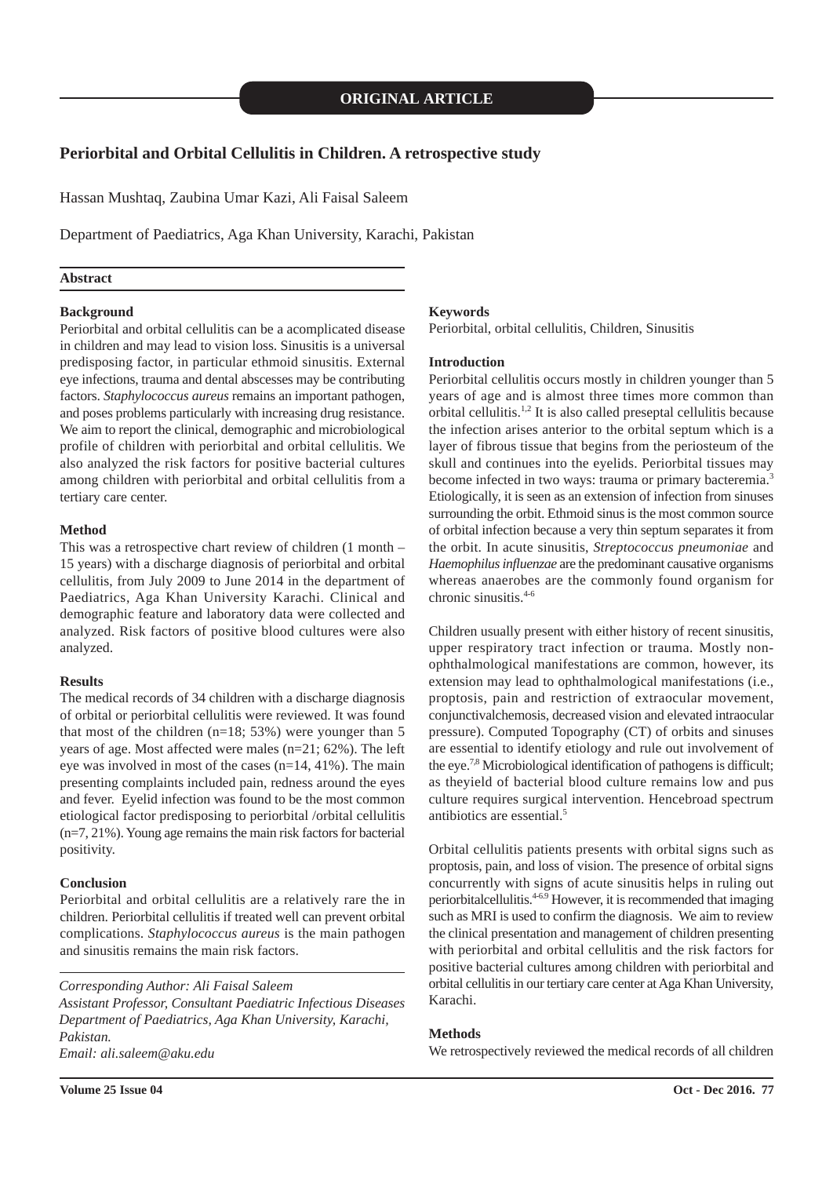#### **Periorbital and Orbital Cellulitis in Children. A retrospective study**

Hassan Mushtaq, Zaubina Umar Kazi, Ali Faisal Saleem

Department of Paediatrics, Aga Khan University, Karachi, Pakistan

#### **Abstract**

#### **Background**

Periorbital and orbital cellulitis can be a acomplicated disease in children and may lead to vision loss. Sinusitis is a universal predisposing factor, in particular ethmoid sinusitis. External eye infections, trauma and dental abscesses may be contributing factors. *Staphylococcus aureus* remains an important pathogen, and poses problems particularly with increasing drug resistance. We aim to report the clinical, demographic and microbiological profile of children with periorbital and orbital cellulitis. We also analyzed the risk factors for positive bacterial cultures among children with periorbital and orbital cellulitis from a tertiary care center.

#### **Method**

This was a retrospective chart review of children (1 month – 15 years) with a discharge diagnosis of periorbital and orbital cellulitis, from July 2009 to June 2014 in the department of Paediatrics, Aga Khan University Karachi. Clinical and demographic feature and laboratory data were collected and analyzed. Risk factors of positive blood cultures were also analyzed.

#### **Results**

The medical records of 34 children with a discharge diagnosis of orbital or periorbital cellulitis were reviewed. It was found that most of the children  $(n=18; 53%)$  were younger than 5 years of age. Most affected were males (n=21; 62%). The left eye was involved in most of the cases (n=14, 41%). The main presenting complaints included pain, redness around the eyes and fever. Eyelid infection was found to be the most common etiological factor predisposing to periorbital /orbital cellulitis (n=7, 21%). Young age remains the main risk factors for bacterial positivity.

#### **Conclusion**

Periorbital and orbital cellulitis are a relatively rare the in children. Periorbital cellulitis if treated well can prevent orbital complications. *Staphylococcus aureus* is the main pathogen and sinusitis remains the main risk factors.

#### *Corresponding Author: Ali Faisal Saleem*

*Assistant Professor, Consultant Paediatric Infectious Diseases Department of Paediatrics, Aga Khan University, Karachi, Pakistan. Email: ali.saleem@aku.edu*

#### **Keywords**

Periorbital, orbital cellulitis, Children, Sinusitis

#### **Introduction**

Periorbital cellulitis occurs mostly in children younger than 5 years of age and is almost three times more common than orbital cellulitis.1,2 It is also called preseptal cellulitis because the infection arises anterior to the orbital septum which is a layer of fibrous tissue that begins from the periosteum of the skull and continues into the eyelids. Periorbital tissues may become infected in two ways: trauma or primary bacteremia.<sup>3</sup> Etiologically, it is seen as an extension of infection from sinuses surrounding the orbit. Ethmoid sinus is the most common source of orbital infection because a very thin septum separates it from the orbit. In acute sinusitis, *Streptococcus pneumoniae* and *Haemophilus influenzae* are the predominant causative organisms whereas anaerobes are the commonly found organism for chronic sinusitis. $4-6$ 

Children usually present with either history of recent sinusitis, upper respiratory tract infection or trauma. Mostly nonophthalmological manifestations are common, however, its extension may lead to ophthalmological manifestations (i.e., proptosis, pain and restriction of extraocular movement, conjunctivalchemosis, decreased vision and elevated intraocular pressure). Computed Topography (CT) of orbits and sinuses are essential to identify etiology and rule out involvement of the eye.<sup>7,8</sup> Microbiological identification of pathogens is difficult; as theyield of bacterial blood culture remains low and pus culture requires surgical intervention. Hencebroad spectrum antibiotics are essential.<sup>5</sup>

Orbital cellulitis patients presents with orbital signs such as proptosis, pain, and loss of vision. The presence of orbital signs concurrently with signs of acute sinusitis helps in ruling out periorbitalcellulitis.4-6.9 However, it is recommended that imaging such as MRI is used to confirm the diagnosis. We aim to review the clinical presentation and management of children presenting with periorbital and orbital cellulitis and the risk factors for positive bacterial cultures among children with periorbital and orbital cellulitis in our tertiary care center at Aga Khan University, Karachi.

#### **Methods**

We retrospectively reviewed the medical records of all children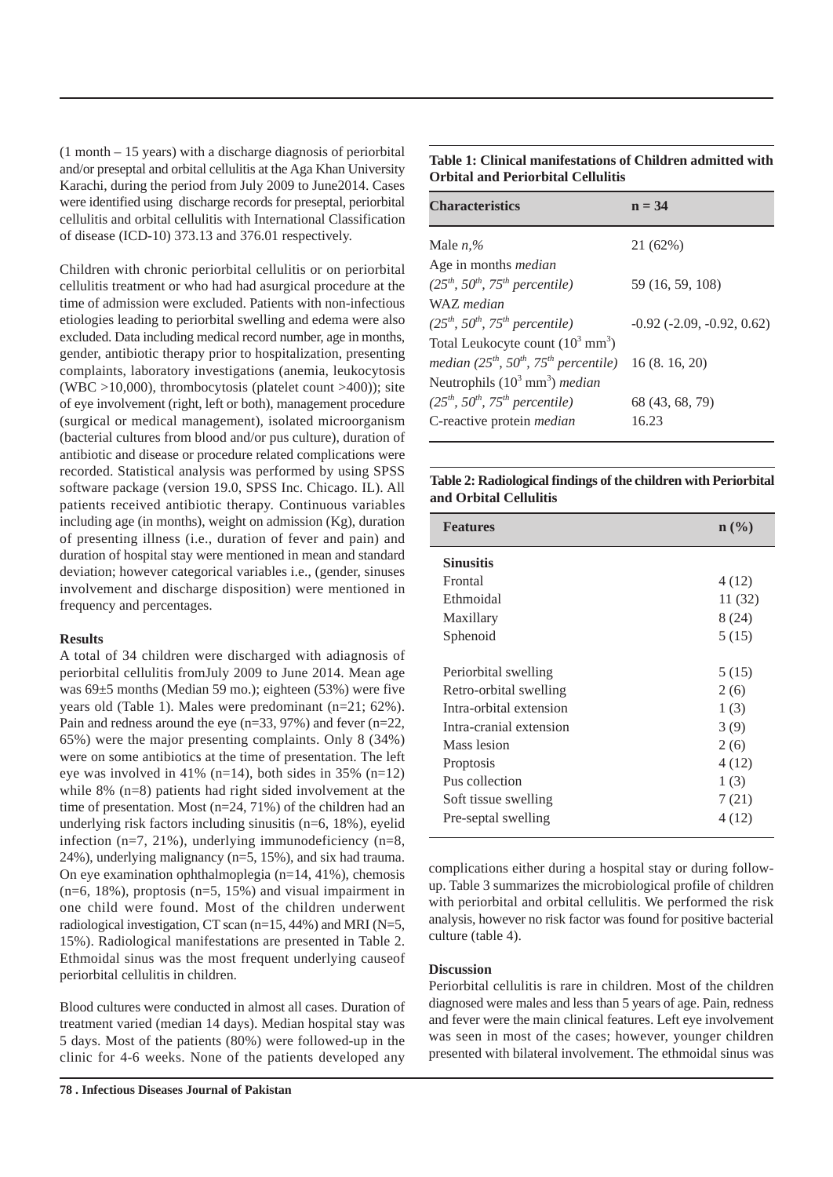(1 month – 15 years) with a discharge diagnosis of periorbital and/or preseptal and orbital cellulitis at the Aga Khan University Karachi, during the period from July 2009 to June2014. Cases were identified using discharge records for preseptal, periorbital cellulitis and orbital cellulitis with International Classification of disease (ICD-10) 373.13 and 376.01 respectively.

Children with chronic periorbital cellulitis or on periorbital cellulitis treatment or who had had asurgical procedure at the time of admission were excluded. Patients with non-infectious etiologies leading to periorbital swelling and edema were also excluded. Data including medical record number, age in months, gender, antibiotic therapy prior to hospitalization, presenting complaints, laboratory investigations (anemia, leukocytosis (WBC  $>10,000$ ), thrombocytosis (platelet count  $>400$ )); site of eye involvement (right, left or both), management procedure (surgical or medical management), isolated microorganism (bacterial cultures from blood and/or pus culture), duration of antibiotic and disease or procedure related complications were recorded. Statistical analysis was performed by using SPSS software package (version 19.0, SPSS Inc. Chicago. IL). All patients received antibiotic therapy. Continuous variables including age (in months), weight on admission (Kg), duration of presenting illness (i.e., duration of fever and pain) and duration of hospital stay were mentioned in mean and standard deviation; however categorical variables i.e., (gender, sinuses involvement and discharge disposition) were mentioned in frequency and percentages.

#### **Results**

A total of 34 children were discharged with adiagnosis of periorbital cellulitis fromJuly 2009 to June 2014. Mean age was 69±5 months (Median 59 mo.); eighteen (53%) were five years old (Table 1). Males were predominant (n=21; 62%). Pain and redness around the eye (n=33, 97%) and fever (n=22, 65%) were the major presenting complaints. Only 8 (34%) were on some antibiotics at the time of presentation. The left eye was involved in 41% (n=14), both sides in 35% (n=12) while 8% (n=8) patients had right sided involvement at the time of presentation. Most (n=24, 71%) of the children had an underlying risk factors including sinusitis (n=6, 18%), eyelid infection (n=7, 21%), underlying immunodeficiency (n=8, 24%), underlying malignancy (n=5, 15%), and six had trauma. On eye examination ophthalmoplegia (n=14, 41%), chemosis  $(n=6, 18\%)$ , proptosis  $(n=5, 15\%)$  and visual impairment in one child were found. Most of the children underwent radiological investigation, CT scan (n=15, 44%) and MRI (N=5, 15%). Radiological manifestations are presented in Table 2. Ethmoidal sinus was the most frequent underlying causeof periorbital cellulitis in children.

Blood cultures were conducted in almost all cases. Duration of treatment varied (median 14 days). Median hospital stay was 5 days. Most of the patients (80%) were followed-up in the clinic for 4-6 weeks. None of the patients developed any

**Table 1: Clinical manifestations of Children admitted with Orbital and Periorbital Cellulitis**

| <b>Characteristics</b>                                        | $n = 34$                               |
|---------------------------------------------------------------|----------------------------------------|
| Male $n$ <sup>%</sup>                                         | 21 (62%)                               |
| Age in months <i>median</i>                                   |                                        |
| $(25th, 50th, 75th percentile)$                               | 59 (16, 59, 108)                       |
| WAZ median                                                    |                                        |
| $(25th, 50th, 75th percentile)$                               | $-0.92$ ( $-2.09$ , $-0.92$ , $0.62$ ) |
| Total Leukocyte count $(10^3 \text{ mm}^3)$                   |                                        |
| median $(25^{th}, 50^{th}, 75^{th}$ percentile) 16 (8.16, 20) |                                        |
| Neutrophils $(10^3 \text{ mm}^3)$ median                      |                                        |
| $(25th, 50th, 75th percentile)$                               | 68 (43, 68, 79)                        |
| C-reactive protein <i>median</i>                              | 16.23                                  |
|                                                               |                                        |

#### **Table 2: Radiological findings of the children with Periorbital and Orbital Cellulitis**

| <b>Features</b>         | $n \ (\%)$ |
|-------------------------|------------|
| <b>Sinusitis</b>        |            |
| Frontal                 | 4 (12)     |
| Ethmoidal               | 11 (32)    |
| Maxillary               | 8 (24)     |
| Sphenoid                | 5(15)      |
|                         |            |
| Periorbital swelling    | 5(15)      |
| Retro-orbital swelling  | 2(6)       |
| Intra-orbital extension | 1(3)       |
| Intra-cranial extension | 3(9)       |
| Mass lesion             | 2(6)       |
| Proptosis               | 4 (12)     |
| Pus collection          | 1(3)       |
| Soft tissue swelling    | 7(21)      |
| Pre-septal swelling     | 4 (12)     |
|                         |            |

complications either during a hospital stay or during followup. Table 3 summarizes the microbiological profile of children with periorbital and orbital cellulitis. We performed the risk analysis, however no risk factor was found for positive bacterial culture (table 4).

#### **Discussion**

Periorbital cellulitis is rare in children. Most of the children diagnosed were males and less than 5 years of age. Pain, redness and fever were the main clinical features. Left eye involvement was seen in most of the cases; however, younger children presented with bilateral involvement. The ethmoidal sinus was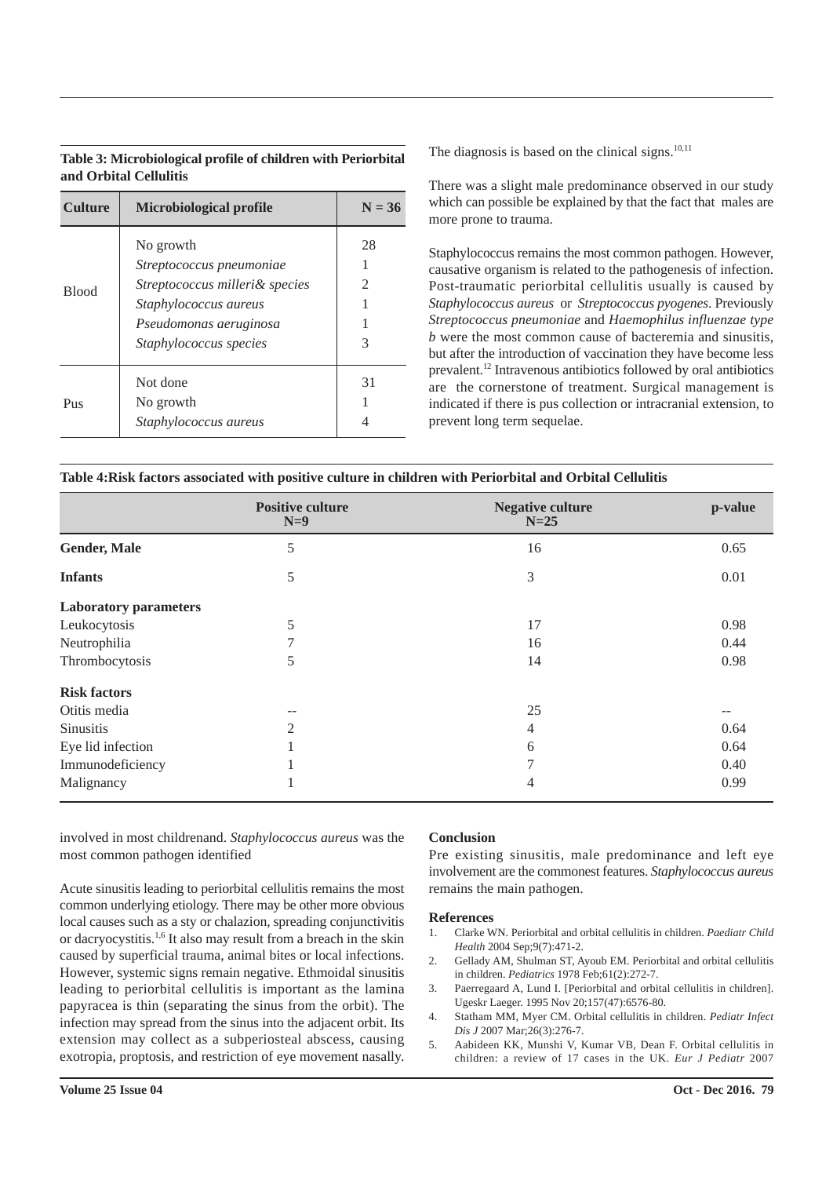#### **Table 3: Microbiological profile of children with Periorbital and Orbital Cellulitis**

| <b>Culture</b> | Microbiological profile                                                                                                                                     | $N = 36$                  |
|----------------|-------------------------------------------------------------------------------------------------------------------------------------------------------------|---------------------------|
| <b>Blood</b>   | No growth<br>Streptococcus pneumoniae<br>Streptococcus milleri& species<br><i>Staphylococcus aureus</i><br>Pseudomonas aeruginosa<br>Staphylococcus species | 28<br>$\mathfrak{D}$<br>3 |
| Pus            | Not done<br>No growth<br>Staphylococcus aureus                                                                                                              | 31                        |

The diagnosis is based on the clinical signs. $10,11$ 

There was a slight male predominance observed in our study which can possible be explained by that the fact that males are more prone to trauma.

Staphylococcus remains the most common pathogen. However, causative organism is related to the pathogenesis of infection. Post-traumatic periorbital cellulitis usually is caused by *Staphylococcus aureus* or *Streptococcus pyogenes*. Previously *Streptococcus pneumoniae* and *Haemophilus influenzae type b* were the most common cause of bacteremia and sinusitis, but after the introduction of vaccination they have become less prevalent.<sup>12</sup> Intravenous antibiotics followed by oral antibiotics are the cornerstone of treatment. Surgical management is indicated if there is pus collection or intracranial extension, to prevent long term sequelae.

| Table 4: Risk factors associated with positive culture in children with Periorbital and Orbital Cellulitis |  |  |  |  |
|------------------------------------------------------------------------------------------------------------|--|--|--|--|
|------------------------------------------------------------------------------------------------------------|--|--|--|--|

|                              | <b>Positive culture</b><br>$N=9$ | <b>Negative culture</b><br>$N=25$ | p-value |
|------------------------------|----------------------------------|-----------------------------------|---------|
| <b>Gender, Male</b>          | 5                                | 16                                | 0.65    |
| <b>Infants</b>               | 5                                | 3                                 | 0.01    |
| <b>Laboratory parameters</b> |                                  |                                   |         |
| Leukocytosis                 | 5                                | 17                                | 0.98    |
| Neutrophilia                 | 7                                | 16                                | 0.44    |
| Thrombocytosis               | 5                                | 14                                | 0.98    |
| <b>Risk factors</b>          |                                  |                                   |         |
| Otitis media                 | $-$                              | 25                                | $-$     |
| Sinusitis                    | $\overline{2}$                   | 4                                 | 0.64    |
| Eye lid infection            |                                  | 6                                 | 0.64    |
| Immunodeficiency             |                                  | 7                                 | 0.40    |
| Malignancy                   | л.                               | 4                                 | 0.99    |

involved in most childrenand. *Staphylococcus aureus* was the most common pathogen identified

Acute sinusitis leading to periorbital cellulitis remains the most common underlying etiology. There may be other more obvious local causes such as a sty or chalazion, spreading conjunctivitis or dacryocystitis.1,6 It also may result from a breach in the skin caused by superficial trauma, animal bites or local infections. However, systemic signs remain negative. Ethmoidal sinusitis leading to periorbital cellulitis is important as the lamina papyracea is thin (separating the sinus from the orbit). The infection may spread from the sinus into the adjacent orbit. Its extension may collect as a subperiosteal abscess, causing exotropia, proptosis, and restriction of eye movement nasally.

#### **Conclusion**

Pre existing sinusitis, male predominance and left eye involvement are the commonest features. *Staphylococcus aureus* remains the main pathogen.

- 1. Clarke WN. Periorbital and orbital cellulitis in children. *Paediatr Child Health* 2004 Sep;9(7):471-2.
- 2. Gellady AM, Shulman ST, Ayoub EM. Periorbital and orbital cellulitis in children. *Pediatrics* 1978 Feb;61(2):272-7.
- Paerregaard A, Lund I. [Periorbital and orbital cellulitis in children]. Ugeskr Laeger. 1995 Nov 20;157(47):6576-80.
- 4. Statham MM, Myer CM. Orbital cellulitis in children. *Pediatr Infect Dis J* 2007 Mar;26(3):276-7.
- 5. Aabideen KK, Munshi V, Kumar VB, Dean F. Orbital cellulitis in children: a review of 17 cases in the UK. *Eur J Pediatr* 2007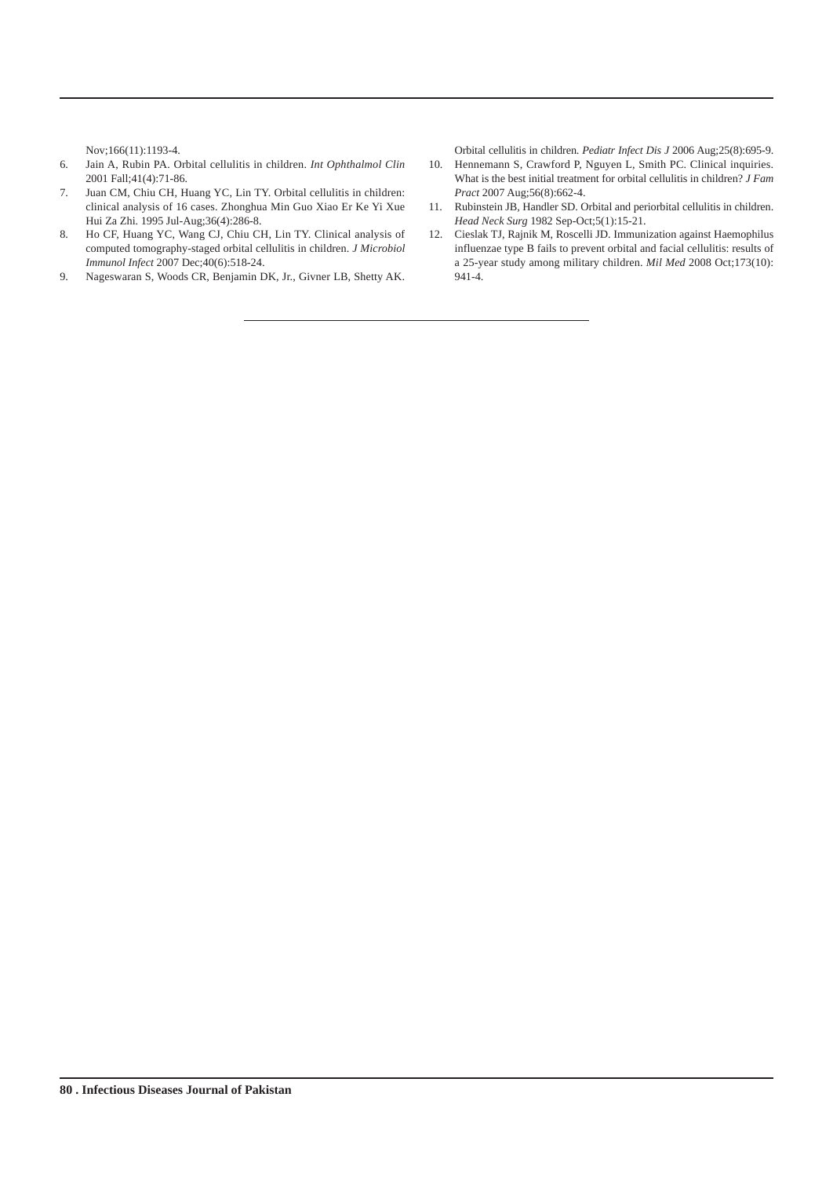Nov;166(11):1193-4.

- 6. Jain A, Rubin PA. Orbital cellulitis in children. *Int Ophthalmol Clin* 2001 Fall;41(4):71-86.
- 7. Juan CM, Chiu CH, Huang YC, Lin TY. Orbital cellulitis in children: clinical analysis of 16 cases. Zhonghua Min Guo Xiao Er Ke Yi Xue Hui Za Zhi. 1995 Jul-Aug;36(4):286-8.
- 8. Ho CF, Huang YC, Wang CJ, Chiu CH, Lin TY. Clinical analysis of computed tomography-staged orbital cellulitis in children. *J Microbiol Immunol Infect* 2007 Dec;40(6):518-24.
- 9. Nageswaran S, Woods CR, Benjamin DK, Jr., Givner LB, Shetty AK.

Orbital cellulitis in children. *Pediatr Infect Dis J* 2006 Aug;25(8):695-9.

- 10. Hennemann S, Crawford P, Nguyen L, Smith PC. Clinical inquiries. What is the best initial treatment for orbital cellulitis in children? *J Fam Pract* 2007 Aug;56(8):662-4.
- 11. Rubinstein JB, Handler SD. Orbital and periorbital cellulitis in children. *Head Neck Surg* 1982 Sep-Oct;5(1):15-21.
- 12. Cieslak TJ, Rajnik M, Roscelli JD. Immunization against Haemophilus influenzae type B fails to prevent orbital and facial cellulitis: results of a 25-year study among military children. *Mil Med* 2008 Oct;173(10): 941-4.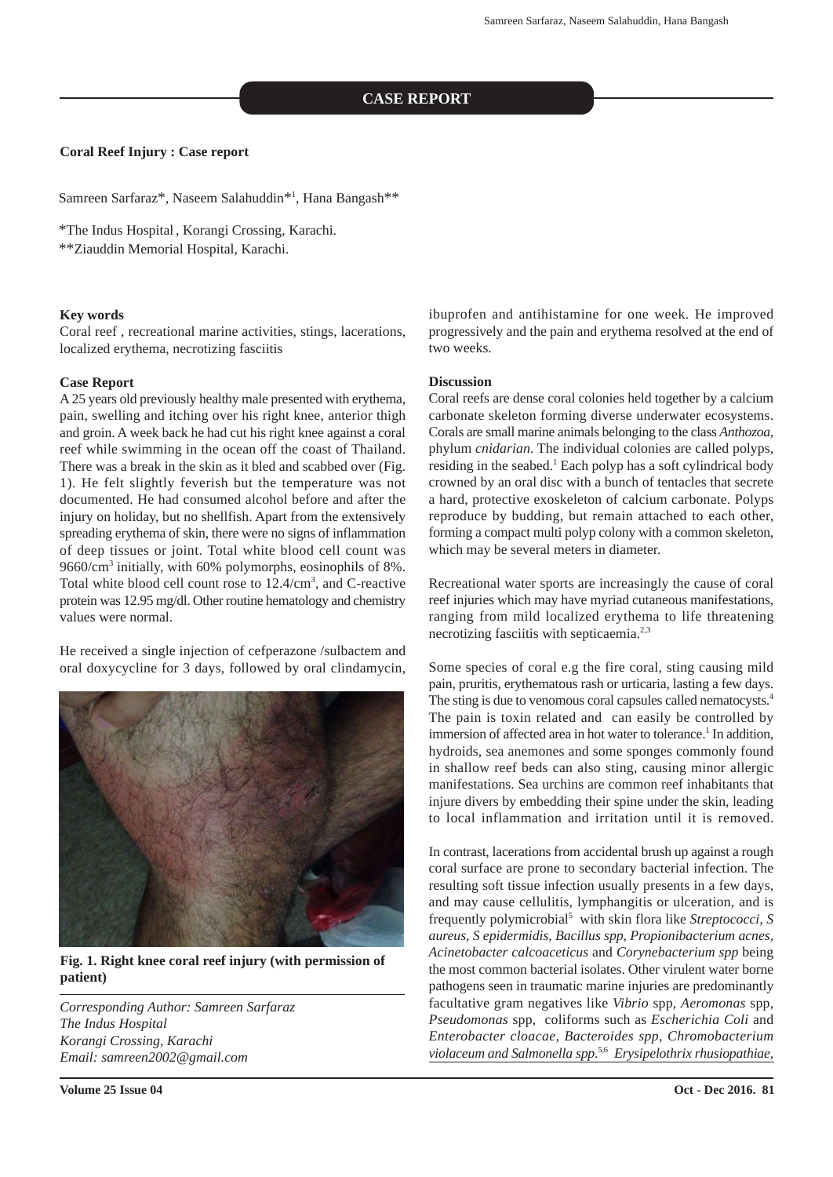#### **CASE REPORT**

#### **Coral Reef Injury : Case report**

Samreen Sarfaraz\*, Naseem Salahuddin\*<sup>1</sup>, Hana Bangash\*\*

\*The Indus Hospital, Korangi Crossing, Karachi.

\*\*Ziauddin Memorial Hospital, Karachi.

#### **Key words**

Coral reef , recreational marine activities, stings, lacerations, localized erythema, necrotizing fasciitis

#### **Case Report**

A 25 years old previously healthy male presented with erythema, pain, swelling and itching over his right knee, anterior thigh and groin. A week back he had cut his right knee against a coral reef while swimming in the ocean off the coast of Thailand. There was a break in the skin as it bled and scabbed over (Fig. 1). He felt slightly feverish but the temperature was not documented. He had consumed alcohol before and after the injury on holiday, but no shellfish. Apart from the extensively spreading erythema of skin, there were no signs of inflammation of deep tissues or joint. Total white blood cell count was 9660/cm<sup>3</sup> initially, with 60% polymorphs, eosinophils of 8%. Total white blood cell count rose to  $12.4 \text{/cm}^3$ , and C-reactive protein was 12.95 mg/dl. Other routine hematology and chemistry values were normal.

He received a single injection of cefperazone /sulbactem and oral doxycycline for 3 days, followed by oral clindamycin,



**Fig. 1. Right knee coral reef injury (with permission of patient)**

*Corresponding Author: Samreen Sarfaraz The Indus Hospital Korangi Crossing, Karachi Email: samreen2002@gmail.com*

ibuprofen and antihistamine for one week. He improved progressively and the pain and erythema resolved at the end of two weeks.

#### **Discussion**

Coral reefs are dense coral colonies held together by a calcium carbonate skeleton forming diverse underwater ecosystems. Corals are small marine animals belonging to the class *Anthozoa*, phylum *cnidarian*. The individual colonies are called polyps, residing in the seabed.<sup>1</sup> Each polyp has a soft cylindrical body crowned by an oral disc with a bunch of tentacles that secrete a hard, protective exoskeleton of calcium carbonate. Polyps reproduce by budding, but remain attached to each other, forming a compact multi polyp colony with a common skeleton, which may be several meters in diameter.

Recreational water sports are increasingly the cause of coral reef injuries which may have myriad cutaneous manifestations, ranging from mild localized erythema to life threatening necrotizing fasciitis with septicaemia.<sup>2,3</sup>

Some species of coral e.g the fire coral, sting causing mild pain, pruritis, erythematous rash or urticaria, lasting a few days. The sting is due to venomous coral capsules called nematocysts.<sup>4</sup> The pain is toxin related and can easily be controlled by immersion of affected area in hot water to tolerance.<sup>1</sup> In addition, hydroids, sea anemones and some sponges commonly found in shallow reef beds can also sting, causing minor allergic manifestations. Sea urchins are common reef inhabitants that injure divers by embedding their spine under the skin, leading to local inflammation and irritation until it is removed.

In contrast, lacerations from accidental brush up against a rough coral surface are prone to secondary bacterial infection. The resulting soft tissue infection usually presents in a few days, and may cause cellulitis, lymphangitis or ulceration, and is frequently polymicrobial<sup>5</sup> with skin flora like *Streptococci*, S *aureus, S epidermidis, Bacillus spp, Propionibacterium acnes, Acinetobacter calcoaceticus* and *Corynebacterium spp* being the most common bacterial isolates. Other virulent water borne pathogens seen in traumatic marine injuries are predominantly facultative gram negatives like *Vibrio* spp*, Aeromonas* spp, *Pseudomonas* spp, coliforms such as *Escherichia Coli* and *Enterobacter cloacae, Bacteroides spp, Chromobacterium violaceum and Salmonella spp*. 5,6 *Erysipelothrix rhusiopathiae,*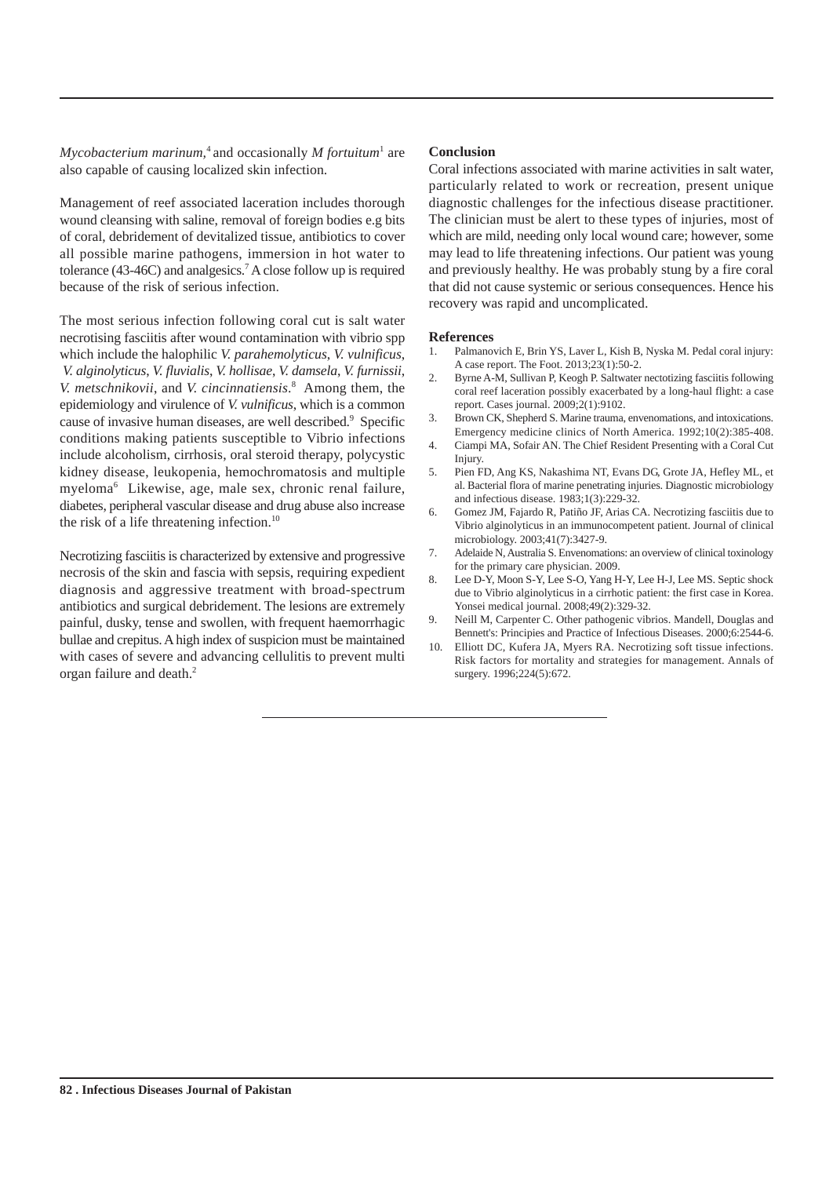*Mycobacterium marinum*,<sup>4</sup> and occasionally *M fortuitum*<sup>1</sup> are also capable of causing localized skin infection.

Management of reef associated laceration includes thorough wound cleansing with saline, removal of foreign bodies e.g bits of coral, debridement of devitalized tissue, antibiotics to cover all possible marine pathogens, immersion in hot water to tolerance (43-46C) and analgesics.<sup>7</sup> A close follow up is required because of the risk of serious infection.

The most serious infection following coral cut is salt water necrotising fasciitis after wound contamination with vibrio spp which include the halophilic *V. parahemolyticus*, *V. vulnificus*, *V. alginolyticus*, *V. fluvialis*, *V. hollisae*, *V. damsela*, *V. furnissii*, *V. metschnikovii*, and *V. cincinnatiensis*. 8 Among them, the epidemiology and virulence of *V. vulnificus*, which is a common cause of invasive human diseases, are well described.<sup>9</sup> Specific conditions making patients susceptible to Vibrio infections include alcoholism, cirrhosis, oral steroid therapy, polycystic kidney disease, leukopenia, hemochromatosis and multiple myeloma<sup>6</sup> Likewise, age, male sex, chronic renal failure, diabetes, peripheral vascular disease and drug abuse also increase the risk of a life threatening infection.<sup>10</sup>

Necrotizing fasciitis is characterized by extensive and progressive necrosis of the skin and fascia with sepsis, requiring expedient diagnosis and aggressive treatment with broad-spectrum antibiotics and surgical debridement. The lesions are extremely painful, dusky, tense and swollen, with frequent haemorrhagic bullae and crepitus. A high index of suspicion must be maintained with cases of severe and advancing cellulitis to prevent multi organ failure and death.<sup>2</sup>

#### **Conclusion**

Coral infections associated with marine activities in salt water, particularly related to work or recreation, present unique diagnostic challenges for the infectious disease practitioner. The clinician must be alert to these types of injuries, most of which are mild, needing only local wound care; however, some may lead to life threatening infections. Our patient was young and previously healthy. He was probably stung by a fire coral that did not cause systemic or serious consequences. Hence his recovery was rapid and uncomplicated.

- 1. Palmanovich E, Brin YS, Laver L, Kish B, Nyska M. Pedal coral injury: A case report. The Foot. 2013;23(1):50-2.
- 2. Byrne A-M, Sullivan P, Keogh P. Saltwater nectotizing fasciitis following coral reef laceration possibly exacerbated by a long-haul flight: a case report. Cases journal. 2009;2(1):9102.
- 3. Brown CK, Shepherd S. Marine trauma, envenomations, and intoxications. Emergency medicine clinics of North America. 1992;10(2):385-408.
- 4. Ciampi MA, Sofair AN. The Chief Resident Presenting with a Coral Cut Injury.
- 5. Pien FD, Ang KS, Nakashima NT, Evans DG, Grote JA, Hefley ML, et al. Bacterial flora of marine penetrating injuries. Diagnostic microbiology and infectious disease. 1983;1(3):229-32.
- 6. Gomez JM, Fajardo R, Patiño JF, Arias CA. Necrotizing fasciitis due to Vibrio alginolyticus in an immunocompetent patient. Journal of clinical microbiology. 2003;41(7):3427-9.
- 7. Adelaide N, Australia S. Envenomations: an overview of clinical toxinology for the primary care physician. 2009.
- 8. Lee D-Y, Moon S-Y, Lee S-O, Yang H-Y, Lee H-J, Lee MS. Septic shock due to Vibrio alginolyticus in a cirrhotic patient: the first case in Korea. Yonsei medical journal. 2008;49(2):329-32.
- 9. Neill M, Carpenter C. Other pathogenic vibrios. Mandell, Douglas and Bennett's: Principies and Practice of Infectious Diseases. 2000;6:2544-6.
- 10. Elliott DC, Kufera JA, Myers RA. Necrotizing soft tissue infections. Risk factors for mortality and strategies for management. Annals of surgery. 1996;224(5):672.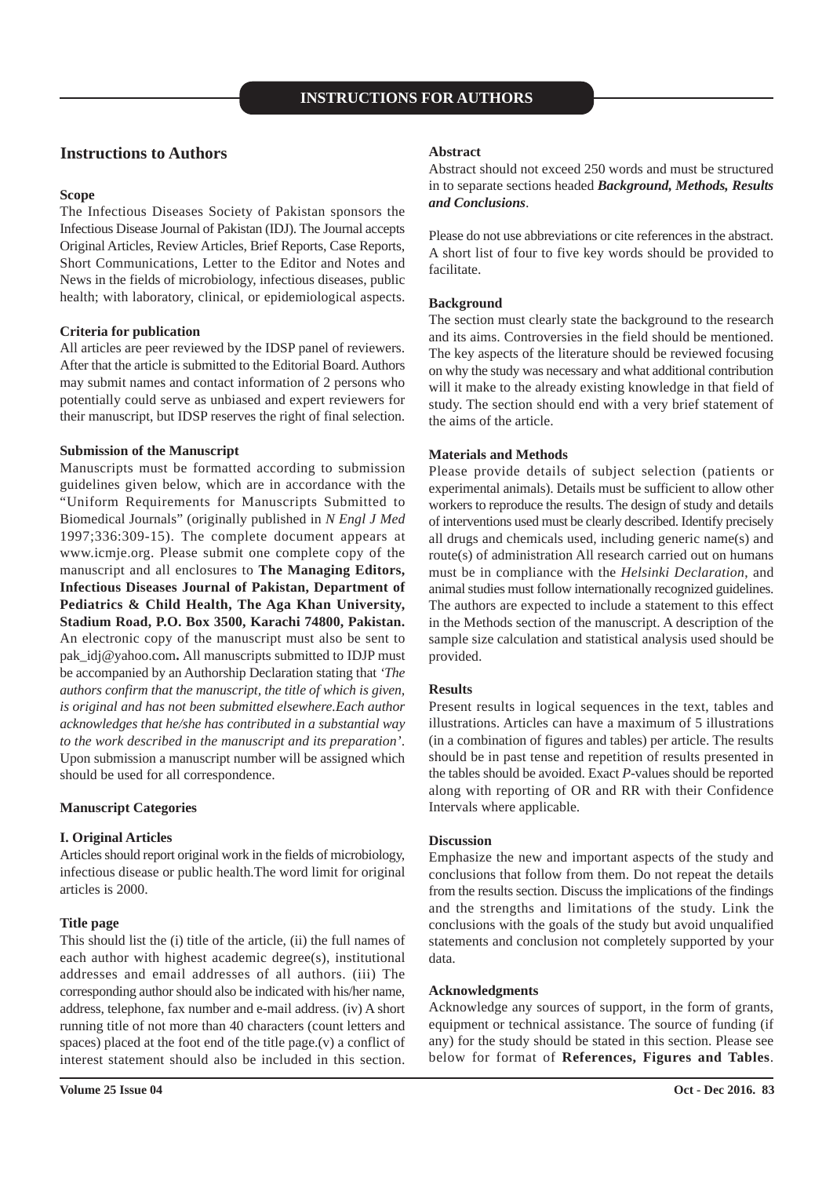#### **Instructions to Authors**

#### **Scope**

The Infectious Diseases Society of Pakistan sponsors the Infectious Disease Journal of Pakistan (IDJ). The Journal accepts Original Articles, Review Articles, Brief Reports, Case Reports, Short Communications, Letter to the Editor and Notes and News in the fields of microbiology, infectious diseases, public health; with laboratory, clinical, or epidemiological aspects.

#### **Criteria for publication**

All articles are peer reviewed by the IDSP panel of reviewers. After that the article is submitted to the Editorial Board. Authors may submit names and contact information of 2 persons who potentially could serve as unbiased and expert reviewers for their manuscript, but IDSP reserves the right of final selection.

#### **Submission of the Manuscript**

Manuscripts must be formatted according to submission guidelines given below, which are in accordance with the "Uniform Requirements for Manuscripts Submitted to Biomedical Journals" (originally published in *N Engl J Med* 1997;336:309-15). The complete document appears at www.icmje.org. Please submit one complete copy of the manuscript and all enclosures to **The Managing Editors, Infectious Diseases Journal of Pakistan, Department of Pediatrics & Child Health, The Aga Khan University, Stadium Road, P.O. Box 3500, Karachi 74800, Pakistan.** An electronic copy of the manuscript must also be sent to pak\_idj@yahoo.com**.** All manuscripts submitted to IDJP must be accompanied by an Authorship Declaration stating that *'The authors confirm that the manuscript, the title of which is given, is original and has not been submitted elsewhere.Each author acknowledges that he/she has contributed in a substantial way to the work described in the manuscript and its preparation'*. Upon submission a manuscript number will be assigned which should be used for all correspondence.

#### **Manuscript Categories**

#### **I. Original Articles**

Articles should report original work in the fields of microbiology, infectious disease or public health.The word limit for original articles is 2000.

#### **Title page**

This should list the (i) title of the article, (ii) the full names of each author with highest academic degree(s), institutional addresses and email addresses of all authors. (iii) The corresponding author should also be indicated with his/her name, address, telephone, fax number and e-mail address. (iv) A short running title of not more than 40 characters (count letters and spaces) placed at the foot end of the title page.(v) a conflict of interest statement should also be included in this section.

#### **Abstract**

Abstract should not exceed 250 words and must be structured in to separate sections headed *Background, Methods, Results and Conclusions*.

Please do not use abbreviations or cite references in the abstract. A short list of four to five key words should be provided to facilitate.

#### **Background**

The section must clearly state the background to the research and its aims. Controversies in the field should be mentioned. The key aspects of the literature should be reviewed focusing on why the study was necessary and what additional contribution will it make to the already existing knowledge in that field of study. The section should end with a very brief statement of the aims of the article.

#### **Materials and Methods**

Please provide details of subject selection (patients or experimental animals). Details must be sufficient to allow other workers to reproduce the results. The design of study and details of interventions used must be clearly described. Identify precisely all drugs and chemicals used, including generic name(s) and route(s) of administration All research carried out on humans must be in compliance with the *Helsinki Declaration*, and animal studies must follow internationally recognized guidelines. The authors are expected to include a statement to this effect in the Methods section of the manuscript. A description of the sample size calculation and statistical analysis used should be provided.

#### **Results**

Present results in logical sequences in the text, tables and illustrations. Articles can have a maximum of 5 illustrations (in a combination of figures and tables) per article. The results should be in past tense and repetition of results presented in the tables should be avoided. Exact *P-*values should be reported along with reporting of OR and RR with their Confidence Intervals where applicable.

#### **Discussion**

Emphasize the new and important aspects of the study and conclusions that follow from them. Do not repeat the details from the results section. Discuss the implications of the findings and the strengths and limitations of the study. Link the conclusions with the goals of the study but avoid unqualified statements and conclusion not completely supported by your data.

#### **Acknowledgments**

Acknowledge any sources of support, in the form of grants, equipment or technical assistance. The source of funding (if any) for the study should be stated in this section. Please see below for format of **References, Figures and Tables**.